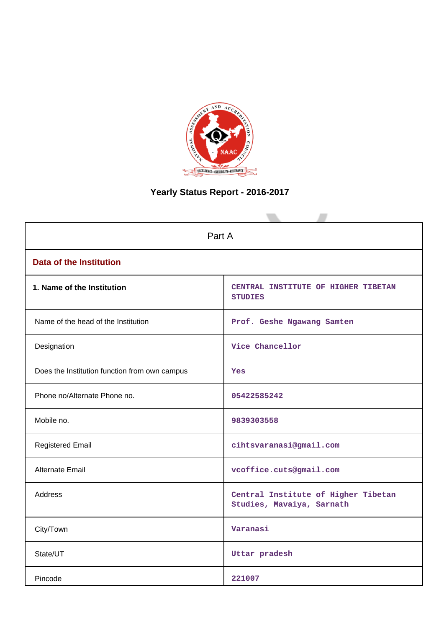

# **Yearly Status Report - 2016-2017**

| Part A                                        |                                                                  |  |  |  |  |  |
|-----------------------------------------------|------------------------------------------------------------------|--|--|--|--|--|
| <b>Data of the Institution</b>                |                                                                  |  |  |  |  |  |
| 1. Name of the Institution                    | CENTRAL INSTITUTE OF HIGHER TIBETAN<br><b>STUDIES</b>            |  |  |  |  |  |
| Name of the head of the Institution           | Prof. Geshe Ngawang Samten                                       |  |  |  |  |  |
| Designation                                   | Vice Chancellor                                                  |  |  |  |  |  |
| Does the Institution function from own campus | Yes                                                              |  |  |  |  |  |
| Phone no/Alternate Phone no.                  | 05422585242                                                      |  |  |  |  |  |
| Mobile no.                                    | 9839303558                                                       |  |  |  |  |  |
| <b>Registered Email</b>                       | cihtsvaranasi@gmail.com                                          |  |  |  |  |  |
| Alternate Email                               | vcoffice.cuts@gmail.com                                          |  |  |  |  |  |
| <b>Address</b>                                | Central Institute of Higher Tibetan<br>Studies, Mavaiya, Sarnath |  |  |  |  |  |
| City/Town                                     | Varanasi                                                         |  |  |  |  |  |
| State/UT                                      | Uttar pradesh                                                    |  |  |  |  |  |
| Pincode                                       | 221007                                                           |  |  |  |  |  |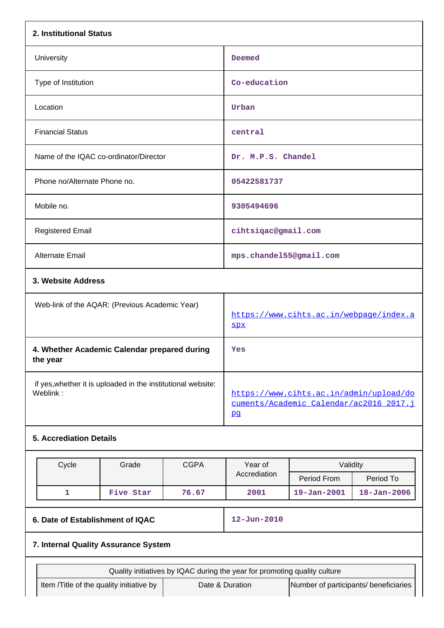| 2. Institutional Status                                                                              |           |             |                                                                                          |                   |                   |  |  |
|------------------------------------------------------------------------------------------------------|-----------|-------------|------------------------------------------------------------------------------------------|-------------------|-------------------|--|--|
| University                                                                                           |           |             | Deemed                                                                                   |                   |                   |  |  |
| Type of Institution                                                                                  |           |             | Co-education                                                                             |                   |                   |  |  |
| Location                                                                                             |           |             | Urban                                                                                    |                   |                   |  |  |
| <b>Financial Status</b>                                                                              |           |             | central                                                                                  |                   |                   |  |  |
| Name of the IQAC co-ordinator/Director                                                               |           |             | Dr. M.P.S. Chandel                                                                       |                   |                   |  |  |
| Phone no/Alternate Phone no.                                                                         |           |             | 05422581737                                                                              |                   |                   |  |  |
| Mobile no.                                                                                           |           |             | 9305494696                                                                               |                   |                   |  |  |
| <b>Registered Email</b>                                                                              |           |             | cihtsiqac@gmail.com                                                                      |                   |                   |  |  |
| Alternate Email                                                                                      |           |             | mps.chandel55@gmail.com                                                                  |                   |                   |  |  |
| 3. Website Address                                                                                   |           |             |                                                                                          |                   |                   |  |  |
| Web-link of the AQAR: (Previous Academic Year)                                                       |           |             | https://www.cihts.ac.in/webpage/index.a<br><b>SPX</b>                                    |                   |                   |  |  |
| 4. Whether Academic Calendar prepared during<br>the year                                             |           |             | Yes                                                                                      |                   |                   |  |  |
| if yes, whether it is uploaded in the institutional website:<br>Weblink:                             |           |             | https://www.cihts.ac.in/admin/upload/do<br>cuments/Academic Calendar/ac2016 2017.j<br>pg |                   |                   |  |  |
| <b>5. Accrediation Details</b>                                                                       |           |             |                                                                                          |                   |                   |  |  |
| Cycle                                                                                                | Grade     | <b>CGPA</b> | Year of<br>Validity                                                                      |                   |                   |  |  |
|                                                                                                      |           |             | Accrediation                                                                             | Period From       | Period To         |  |  |
| $\mathbf{1}$                                                                                         | Five Star | 76.67       | 2001                                                                                     | $19 - Jan - 2001$ | $18 - Jan - 2006$ |  |  |
| 6. Date of Establishment of IQAC                                                                     |           |             | $12 - Jun - 2010$                                                                        |                   |                   |  |  |
| 7. Internal Quality Assurance System                                                                 |           |             |                                                                                          |                   |                   |  |  |
| Quality initiatives by IQAC during the year for promoting quality culture                            |           |             |                                                                                          |                   |                   |  |  |
| Item /Title of the quality initiative by<br>Date & Duration<br>Number of participants/ beneficiaries |           |             |                                                                                          |                   |                   |  |  |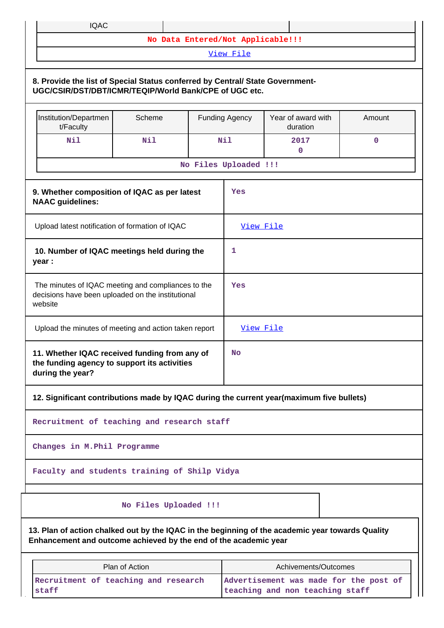| IQAC |  |  |
|------|--|--|
|------|--|--|

**No Data Entered/Not Applicable!!!**

[View File](https://assessmentonline.naac.gov.in/public/Postacc/Quality_Initiatives/6554_Quality_Initiatives.xlsx)

# **8. Provide the list of Special Status conferred by Central/ State Government-UGC/CSIR/DST/DBT/ICMR/TEQIP/World Bank/CPE of UGC etc.** Institution/Departmen t/Faculty Scheme | Funding Agency | Year of award with duration Amount **Nil Nil Nil 2017 0 0 No Files Uploaded !!! 9. Whether composition of IQAC as per latest NAAC guidelines: Yes** Upload latest notification of formation of IQAC [View File](https://assessmentonline.naac.gov.in/public/Postacc/Formation/6554_Formation.pdf)  **10. Number of IQAC meetings held during the year : 1** The minutes of IQAC meeting and compliances to the decisions have been uploaded on the institutional website **Yes** Upload the minutes of meeting and action taken report  $\overrightarrow{V_{\text{new}}$  File **11. Whether IQAC received funding from any of the funding agency to support its activities during the year? No 12. Significant contributions made by IQAC during the current year(maximum five bullets) Recruitment of teaching and research staff Changes in M.Phil Programme**

**Faculty and students training of Shilp Vidya**

# **No Files Uploaded !!!**

**13. Plan of action chalked out by the IQAC in the beginning of the academic year towards Quality Enhancement and outcome achieved by the end of the academic year**

| Plan of Action                       | Achivements/Outcomes                   |  |  |  |  |
|--------------------------------------|----------------------------------------|--|--|--|--|
| Recruitment of teaching and research | Advertisement was made for the post of |  |  |  |  |
| staff                                | teaching and non teaching staff        |  |  |  |  |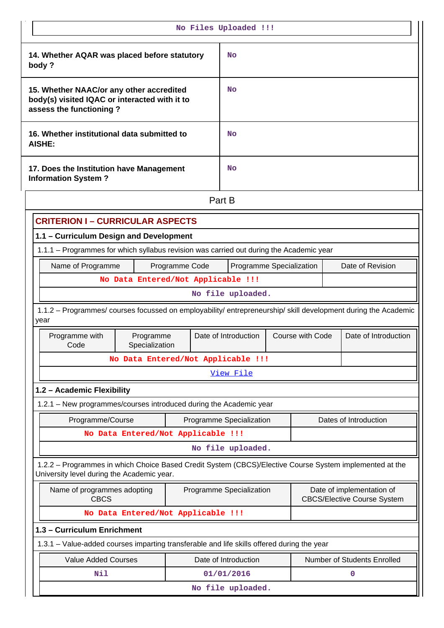| No Files Uploaded !!!                                                                                                  |                                                                                                                                                       |                                              |  |                  |                                                                 |  |  |  |
|------------------------------------------------------------------------------------------------------------------------|-------------------------------------------------------------------------------------------------------------------------------------------------------|----------------------------------------------|--|------------------|-----------------------------------------------------------------|--|--|--|
| 14. Whether AQAR was placed before statutory<br>body?                                                                  |                                                                                                                                                       | No                                           |  |                  |                                                                 |  |  |  |
| 15. Whether NAAC/or any other accredited<br>body(s) visited IQAC or interacted with it to<br>assess the functioning?   |                                                                                                                                                       | <b>No</b>                                    |  |                  |                                                                 |  |  |  |
| 16. Whether institutional data submitted to<br><b>AISHE:</b>                                                           |                                                                                                                                                       | <b>No</b>                                    |  |                  |                                                                 |  |  |  |
| 17. Does the Institution have Management<br><b>Information System?</b>                                                 |                                                                                                                                                       | <b>No</b>                                    |  |                  |                                                                 |  |  |  |
|                                                                                                                        |                                                                                                                                                       | Part B                                       |  |                  |                                                                 |  |  |  |
| <b>CRITERION I - CURRICULAR ASPECTS</b>                                                                                |                                                                                                                                                       |                                              |  |                  |                                                                 |  |  |  |
| 1.1 - Curriculum Design and Development                                                                                |                                                                                                                                                       |                                              |  |                  |                                                                 |  |  |  |
| 1.1.1 - Programmes for which syllabus revision was carried out during the Academic year                                |                                                                                                                                                       |                                              |  |                  |                                                                 |  |  |  |
| Name of Programme                                                                                                      | Programme Code                                                                                                                                        | Date of Revision<br>Programme Specialization |  |                  |                                                                 |  |  |  |
| No Data Entered/Not Applicable !!!                                                                                     |                                                                                                                                                       |                                              |  |                  |                                                                 |  |  |  |
|                                                                                                                        |                                                                                                                                                       | No file uploaded.                            |  |                  |                                                                 |  |  |  |
| 1.1.2 - Programmes/ courses focussed on employability/ entrepreneurship/ skill development during the Academic<br>year |                                                                                                                                                       |                                              |  |                  |                                                                 |  |  |  |
| Programme with<br>Programme<br>Specialization<br>Code                                                                  |                                                                                                                                                       | Date of Introduction                         |  | Course with Code | Date of Introduction                                            |  |  |  |
|                                                                                                                        | No Data Entered/Not Applicable !!!                                                                                                                    |                                              |  |                  |                                                                 |  |  |  |
|                                                                                                                        |                                                                                                                                                       | View File                                    |  |                  |                                                                 |  |  |  |
| 1.2 - Academic Flexibility                                                                                             |                                                                                                                                                       |                                              |  |                  |                                                                 |  |  |  |
| 1.2.1 - New programmes/courses introduced during the Academic year                                                     |                                                                                                                                                       |                                              |  |                  |                                                                 |  |  |  |
| Programme/Course                                                                                                       |                                                                                                                                                       | Programme Specialization                     |  |                  | Dates of Introduction                                           |  |  |  |
| No Data Entered/Not Applicable !!!                                                                                     |                                                                                                                                                       |                                              |  |                  |                                                                 |  |  |  |
|                                                                                                                        |                                                                                                                                                       | No file uploaded.                            |  |                  |                                                                 |  |  |  |
|                                                                                                                        | 1.2.2 - Programmes in which Choice Based Credit System (CBCS)/Elective Course System implemented at the<br>University level during the Academic year. |                                              |  |                  |                                                                 |  |  |  |
| Name of programmes adopting<br>Programme Specialization<br><b>CBCS</b>                                                 |                                                                                                                                                       |                                              |  |                  | Date of implementation of<br><b>CBCS/Elective Course System</b> |  |  |  |
| No Data Entered/Not Applicable !!!                                                                                     |                                                                                                                                                       |                                              |  |                  |                                                                 |  |  |  |
| 1.3 - Curriculum Enrichment                                                                                            |                                                                                                                                                       |                                              |  |                  |                                                                 |  |  |  |
| 1.3.1 – Value-added courses imparting transferable and life skills offered during the year                             |                                                                                                                                                       |                                              |  |                  |                                                                 |  |  |  |
| <b>Value Added Courses</b>                                                                                             |                                                                                                                                                       | Date of Introduction                         |  |                  | Number of Students Enrolled                                     |  |  |  |
| <b>Nil</b>                                                                                                             |                                                                                                                                                       | 01/01/2016                                   |  |                  | 0                                                               |  |  |  |

|  |  |  | No file uploaded. |
|--|--|--|-------------------|
|--|--|--|-------------------|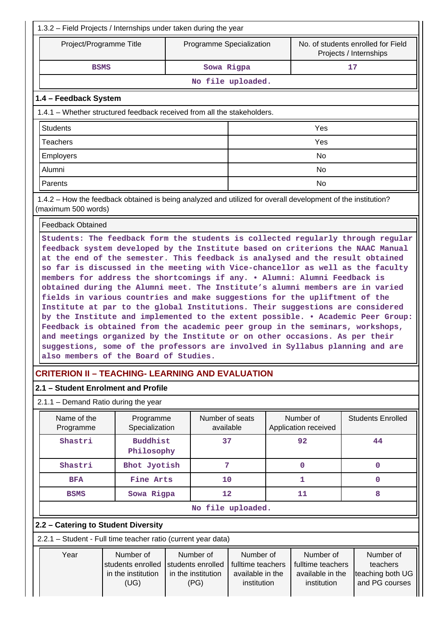| 1.3.2 – Field Projects / Internships under taken during the year                                                                                                                                                                                   |                          |           |                                                              |  |  |  |  |  |
|----------------------------------------------------------------------------------------------------------------------------------------------------------------------------------------------------------------------------------------------------|--------------------------|-----------|--------------------------------------------------------------|--|--|--|--|--|
| Project/Programme Title                                                                                                                                                                                                                            | Programme Specialization |           | No. of students enrolled for Field<br>Projects / Internships |  |  |  |  |  |
| <b>BSMS</b>                                                                                                                                                                                                                                        | Sowa Rigpa               |           | 17                                                           |  |  |  |  |  |
| No file uploaded.                                                                                                                                                                                                                                  |                          |           |                                                              |  |  |  |  |  |
| 1.4 - Feedback System                                                                                                                                                                                                                              |                          |           |                                                              |  |  |  |  |  |
| 1.4.1 – Whether structured feedback received from all the stakeholders.                                                                                                                                                                            |                          |           |                                                              |  |  |  |  |  |
| <b>Students</b>                                                                                                                                                                                                                                    |                          | Yes       |                                                              |  |  |  |  |  |
| Teachers                                                                                                                                                                                                                                           |                          | Yes       |                                                              |  |  |  |  |  |
| <b>Employers</b>                                                                                                                                                                                                                                   |                          | No.       |                                                              |  |  |  |  |  |
| Alumni                                                                                                                                                                                                                                             |                          | <b>No</b> |                                                              |  |  |  |  |  |
| Parents                                                                                                                                                                                                                                            |                          |           | N <sub>0</sub>                                               |  |  |  |  |  |
| 1.4.2 – How the feedback obtained is being analyzed and utilized for overall development of the institution?<br>(maximum 500 words)                                                                                                                |                          |           |                                                              |  |  |  |  |  |
| <b>Feedback Obtained</b>                                                                                                                                                                                                                           |                          |           |                                                              |  |  |  |  |  |
| Students: The feedback form the students is collected regularly through regular<br>feedback system developed by the Institute based on criterions the NAAC Manual<br>at the end of the semester. This feedback is analysed and the result obtained |                          |           |                                                              |  |  |  |  |  |

**so far is discussed in the meeting with Vice-chancellor as well as the faculty**

**members for address the shortcomings if any. • Alumni: Alumni Feedback is obtained during the Alumni meet. The Institute's alumni members are in varied fields in various countries and make suggestions for the upliftment of the Institute at par to the global Institutions. Their suggestions are considered by the Institute and implemented to the extent possible. • Academic Peer Group: Feedback is obtained from the academic peer group in the seminars, workshops, and meetings organized by the Institute or on other occasions. As per their suggestions, some of the professors are involved in Syllabus planning and are**

# **CRITERION II – TEACHING- LEARNING AND EVALUATION**

**also members of the Board of Studies.**

(UG)

## **2.1 – Student Enrolment and Profile**

2.1.1 – Demand Ratio during the year

| <b>Domand Ratio during the year</b>                           |                                                      |                                                      |                                                    |                                                    |                                           |  |  |  |
|---------------------------------------------------------------|------------------------------------------------------|------------------------------------------------------|----------------------------------------------------|----------------------------------------------------|-------------------------------------------|--|--|--|
| Name of the<br>Programme                                      | Programme<br>Specialization                          |                                                      | Number of seats<br>available                       | Number of<br>Application received                  | <b>Students Enrolled</b>                  |  |  |  |
| Shastri                                                       | <b>Buddhist</b><br>Philosophy                        |                                                      | 37                                                 | 92                                                 | 44                                        |  |  |  |
| Shastri                                                       |                                                      | 7<br>Bhot Jyotish                                    |                                                    | 0                                                  | 0                                         |  |  |  |
| <b>BFA</b>                                                    | Fine Arts                                            |                                                      | 10                                                 |                                                    | 0                                         |  |  |  |
| <b>BSMS</b>                                                   | Sowa Rigpa                                           |                                                      | 12                                                 | 11                                                 | 8                                         |  |  |  |
|                                                               |                                                      |                                                      | No file uploaded.                                  |                                                    |                                           |  |  |  |
| 2.2 - Catering to Student Diversity                           |                                                      |                                                      |                                                    |                                                    |                                           |  |  |  |
| 2.2.1 - Student - Full time teacher ratio (current year data) |                                                      |                                                      |                                                    |                                                    |                                           |  |  |  |
| Year                                                          | Number of<br>students enrolled<br>in the institution | Number of<br>students enrolled<br>in the institution | Number of<br>fulltime teachers<br>available in the | Number of<br>fulltime teachers<br>available in the | Number of<br>teachers<br>teaching both UG |  |  |  |

institution

institution

and PG courses

(PG)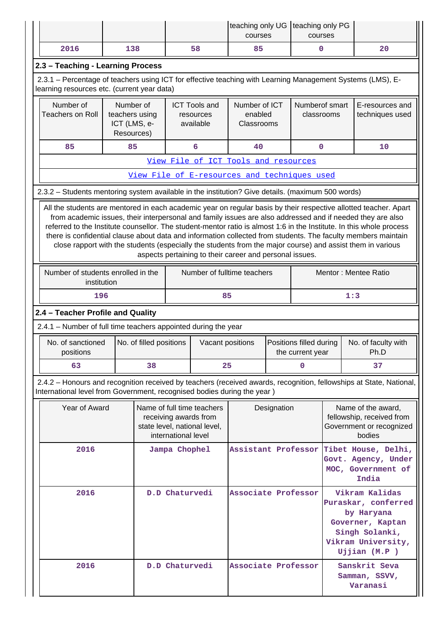|                                                                                                                                                                                                                                                                                                                                                                                                                                                                                                                                                                                                                                                  |                                                           |                         |                     |                                                                                                                          | teaching only UG   teaching only PG<br>courses |  | courses                                                                                                                         |                                                                                       |                                                                                                                     |
|--------------------------------------------------------------------------------------------------------------------------------------------------------------------------------------------------------------------------------------------------------------------------------------------------------------------------------------------------------------------------------------------------------------------------------------------------------------------------------------------------------------------------------------------------------------------------------------------------------------------------------------------------|-----------------------------------------------------------|-------------------------|---------------------|--------------------------------------------------------------------------------------------------------------------------|------------------------------------------------|--|---------------------------------------------------------------------------------------------------------------------------------|---------------------------------------------------------------------------------------|---------------------------------------------------------------------------------------------------------------------|
| 2016                                                                                                                                                                                                                                                                                                                                                                                                                                                                                                                                                                                                                                             | 138                                                       |                         |                     | 58                                                                                                                       | 85                                             |  | 0                                                                                                                               |                                                                                       | 20                                                                                                                  |
| 2.3 - Teaching - Learning Process                                                                                                                                                                                                                                                                                                                                                                                                                                                                                                                                                                                                                |                                                           |                         |                     |                                                                                                                          |                                                |  |                                                                                                                                 |                                                                                       |                                                                                                                     |
| 2.3.1 – Percentage of teachers using ICT for effective teaching with Learning Management Systems (LMS), E-<br>learning resources etc. (current year data)                                                                                                                                                                                                                                                                                                                                                                                                                                                                                        |                                                           |                         |                     |                                                                                                                          |                                                |  |                                                                                                                                 |                                                                                       |                                                                                                                     |
| Number of<br><b>Teachers on Roll</b>                                                                                                                                                                                                                                                                                                                                                                                                                                                                                                                                                                                                             | Number of<br>teachers using<br>ICT (LMS, e-<br>Resources) |                         |                     | Number of ICT<br>Numberof smart<br><b>ICT Tools and</b><br>enabled<br>classrooms<br>resources<br>available<br>Classrooms |                                                |  |                                                                                                                                 |                                                                                       | E-resources and<br>techniques used                                                                                  |
| 85                                                                                                                                                                                                                                                                                                                                                                                                                                                                                                                                                                                                                                               | 85                                                        |                         |                     | 6                                                                                                                        | 40                                             |  | $\mathbf 0$                                                                                                                     |                                                                                       | 10                                                                                                                  |
|                                                                                                                                                                                                                                                                                                                                                                                                                                                                                                                                                                                                                                                  |                                                           |                         |                     | View File of ICT Tools and resources                                                                                     |                                                |  |                                                                                                                                 |                                                                                       |                                                                                                                     |
|                                                                                                                                                                                                                                                                                                                                                                                                                                                                                                                                                                                                                                                  |                                                           |                         |                     | View File of E-resources and techniques used                                                                             |                                                |  |                                                                                                                                 |                                                                                       |                                                                                                                     |
| 2.3.2 - Students mentoring system available in the institution? Give details. (maximum 500 words)                                                                                                                                                                                                                                                                                                                                                                                                                                                                                                                                                |                                                           |                         |                     |                                                                                                                          |                                                |  |                                                                                                                                 |                                                                                       |                                                                                                                     |
| All the students are mentored in each academic year on regular basis by their respective allotted teacher. Apart<br>from academic issues, their interpersonal and family issues are also addressed and if needed they are also<br>referred to the Institute counsellor. The student-mentor ratio is almost 1:6 in the Institute. In this whole process<br>there is confidential clause about data and information collected from students. The faculty members maintain<br>close rapport with the students (especially the students from the major course) and assist them in various<br>aspects pertaining to their career and personal issues. |                                                           |                         |                     |                                                                                                                          |                                                |  |                                                                                                                                 |                                                                                       |                                                                                                                     |
| Number of students enrolled in the<br>Number of fulltime teachers<br>Mentor: Mentee Ratio<br>institution                                                                                                                                                                                                                                                                                                                                                                                                                                                                                                                                         |                                                           |                         |                     |                                                                                                                          |                                                |  |                                                                                                                                 |                                                                                       |                                                                                                                     |
| 196                                                                                                                                                                                                                                                                                                                                                                                                                                                                                                                                                                                                                                              |                                                           |                         |                     | 85                                                                                                                       |                                                |  |                                                                                                                                 |                                                                                       | 1:3                                                                                                                 |
| 2.4 - Teacher Profile and Quality                                                                                                                                                                                                                                                                                                                                                                                                                                                                                                                                                                                                                |                                                           |                         |                     |                                                                                                                          |                                                |  |                                                                                                                                 |                                                                                       |                                                                                                                     |
| 2.4.1 - Number of full time teachers appointed during the year                                                                                                                                                                                                                                                                                                                                                                                                                                                                                                                                                                                   |                                                           |                         |                     |                                                                                                                          |                                                |  |                                                                                                                                 |                                                                                       |                                                                                                                     |
| No. of sanctioned<br>positions                                                                                                                                                                                                                                                                                                                                                                                                                                                                                                                                                                                                                   |                                                           | No. of filled positions |                     | Vacant positions                                                                                                         |                                                |  | Positions filled during<br>the current year                                                                                     |                                                                                       | No. of faculty with<br>Ph.D                                                                                         |
| 63                                                                                                                                                                                                                                                                                                                                                                                                                                                                                                                                                                                                                                               |                                                           | 38                      |                     | 25                                                                                                                       |                                                |  | $\mathbf 0$                                                                                                                     |                                                                                       | 37                                                                                                                  |
| International level from Government, recognised bodies during the year)                                                                                                                                                                                                                                                                                                                                                                                                                                                                                                                                                                          |                                                           |                         |                     |                                                                                                                          |                                                |  |                                                                                                                                 |                                                                                       | 2.4.2 – Honours and recognition received by teachers (received awards, recognition, fellowships at State, National, |
| Year of Award                                                                                                                                                                                                                                                                                                                                                                                                                                                                                                                                                                                                                                    |                                                           |                         | international level | Name of full time teachers<br>receiving awards from<br>state level, national level,                                      | Designation                                    |  |                                                                                                                                 | Name of the award,<br>fellowship, received from<br>Government or recognized<br>bodies |                                                                                                                     |
| 2016                                                                                                                                                                                                                                                                                                                                                                                                                                                                                                                                                                                                                                             | Jampa Chophel                                             |                         |                     |                                                                                                                          | Assistant Professor                            |  |                                                                                                                                 |                                                                                       | Tibet House, Delhi,<br>Govt. Agency, Under<br>MOC, Government of<br>India                                           |
| 2016<br>D.D Chaturvedi                                                                                                                                                                                                                                                                                                                                                                                                                                                                                                                                                                                                                           |                                                           |                         | Associate Professor |                                                                                                                          |                                                |  | Vikram Kalidas<br>Puraskar, conferred<br>by Haryana<br>Governer, Kaptan<br>Singh Solanki,<br>Vikram University,<br>Ujjian (M.P) |                                                                                       |                                                                                                                     |
| 2016                                                                                                                                                                                                                                                                                                                                                                                                                                                                                                                                                                                                                                             |                                                           |                         |                     | D.D Chaturvedi                                                                                                           | Associate Professor                            |  |                                                                                                                                 |                                                                                       | Sanskrit Seva<br>Samman, SSVV,<br>Varanasi                                                                          |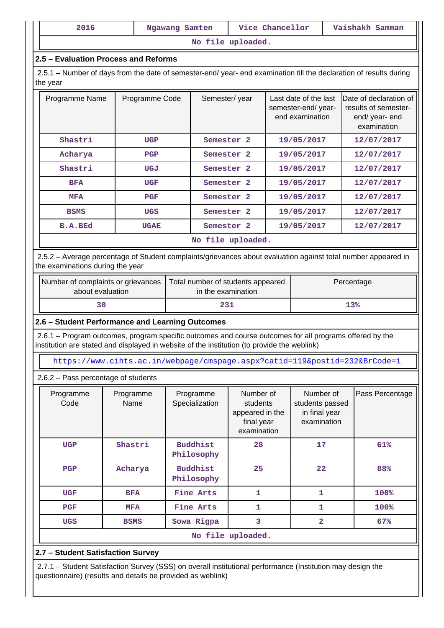| 2016                                                                                                                                                                                                   | Ngawang Samten                                                             |                               |                                                                       | Vice Chancellor<br>Vaishakh Samman |                                                                |                                                                                                                    |  |  |  |
|--------------------------------------------------------------------------------------------------------------------------------------------------------------------------------------------------------|----------------------------------------------------------------------------|-------------------------------|-----------------------------------------------------------------------|------------------------------------|----------------------------------------------------------------|--------------------------------------------------------------------------------------------------------------------|--|--|--|
| No file uploaded.                                                                                                                                                                                      |                                                                            |                               |                                                                       |                                    |                                                                |                                                                                                                    |  |  |  |
| 2.5 - Evaluation Process and Reforms                                                                                                                                                                   |                                                                            |                               |                                                                       |                                    |                                                                |                                                                                                                    |  |  |  |
| the year                                                                                                                                                                                               |                                                                            |                               |                                                                       |                                    |                                                                | 2.5.1 – Number of days from the date of semester-end/ year- end examination till the declaration of results during |  |  |  |
| Programme Name                                                                                                                                                                                         | Programme Code                                                             |                               | Semester/year                                                         |                                    | Last date of the last<br>semester-end/year-<br>end examination | Date of declaration of<br>results of semester-<br>end/year-end<br>examination                                      |  |  |  |
| Shastri                                                                                                                                                                                                | UGP                                                                        |                               | Semester <sub>2</sub>                                                 |                                    | 19/05/2017                                                     | 12/07/2017                                                                                                         |  |  |  |
| Acharya                                                                                                                                                                                                | <b>PGP</b>                                                                 |                               | Semester <sub>2</sub>                                                 |                                    | 19/05/2017                                                     | 12/07/2017                                                                                                         |  |  |  |
| Shastri                                                                                                                                                                                                | UGJ                                                                        |                               | Semester <sub>2</sub>                                                 |                                    | 19/05/2017                                                     | 12/07/2017                                                                                                         |  |  |  |
| <b>BFA</b>                                                                                                                                                                                             | <b>UGF</b>                                                                 |                               | Semester <sub>2</sub>                                                 |                                    | 19/05/2017                                                     | 12/07/2017                                                                                                         |  |  |  |
| <b>MFA</b>                                                                                                                                                                                             | <b>PGF</b>                                                                 |                               | Semester <sub>2</sub>                                                 |                                    | 19/05/2017                                                     | 12/07/2017                                                                                                         |  |  |  |
| <b>BSMS</b>                                                                                                                                                                                            | UGS                                                                        |                               | Semester <sub>2</sub>                                                 |                                    | 19/05/2017                                                     | 12/07/2017                                                                                                         |  |  |  |
| <b>B.A.BEd</b>                                                                                                                                                                                         | <b>UGAE</b>                                                                |                               | Semester <sub>2</sub>                                                 |                                    | 19/05/2017                                                     | 12/07/2017                                                                                                         |  |  |  |
|                                                                                                                                                                                                        |                                                                            |                               | No file uploaded.                                                     |                                    |                                                                |                                                                                                                    |  |  |  |
| the examinations during the year                                                                                                                                                                       |                                                                            |                               |                                                                       |                                    |                                                                | 2.5.2 - Average percentage of Student complaints/grievances about evaluation against total number appeared in      |  |  |  |
| Number of complaints or grievances<br>Total number of students appeared<br>Percentage<br>about evaluation<br>in the examination                                                                        |                                                                            |                               |                                                                       |                                    |                                                                |                                                                                                                    |  |  |  |
| 30                                                                                                                                                                                                     |                                                                            |                               | 231                                                                   |                                    |                                                                | 13%                                                                                                                |  |  |  |
|                                                                                                                                                                                                        | 2.6 - Student Performance and Learning Outcomes                            |                               |                                                                       |                                    |                                                                |                                                                                                                    |  |  |  |
| 2.6.1 - Program outcomes, program specific outcomes and course outcomes for all programs offered by the<br>institution are stated and displayed in website of the institution (to provide the weblink) |                                                                            |                               |                                                                       |                                    |                                                                |                                                                                                                    |  |  |  |
|                                                                                                                                                                                                        | https://www.cihts.ac.in/webpage/cmspage.aspx?catid=119&postid=232&BrCode=1 |                               |                                                                       |                                    |                                                                |                                                                                                                    |  |  |  |
| 2.6.2 - Pass percentage of students                                                                                                                                                                    |                                                                            |                               |                                                                       |                                    |                                                                |                                                                                                                    |  |  |  |
| Programme<br>Code                                                                                                                                                                                      | Programme<br>Name                                                          | Programme<br>Specialization   | Number of<br>students<br>appeared in the<br>final year<br>examination |                                    | Number of<br>students passed<br>in final year<br>examination   | Pass Percentage                                                                                                    |  |  |  |
| <b>UGP</b>                                                                                                                                                                                             | Shastri                                                                    | <b>Buddhist</b><br>Philosophy | 28                                                                    |                                    | 17                                                             | 61%                                                                                                                |  |  |  |
| PGP                                                                                                                                                                                                    | Acharya                                                                    | <b>Buddhist</b><br>Philosophy | 25                                                                    |                                    | 22                                                             | 88%                                                                                                                |  |  |  |
| <b>UGF</b>                                                                                                                                                                                             | <b>BFA</b>                                                                 | Fine Arts                     | 1                                                                     |                                    | 1                                                              | 100%                                                                                                               |  |  |  |
|                                                                                                                                                                                                        |                                                                            |                               |                                                                       |                                    |                                                                |                                                                                                                    |  |  |  |
| <b>PGF</b>                                                                                                                                                                                             | <b>MFA</b>                                                                 | Fine Arts                     | 1                                                                     |                                    | 1                                                              | 100%                                                                                                               |  |  |  |
| <b>UGS</b>                                                                                                                                                                                             | <b>BSMS</b>                                                                | Sowa Rigpa                    | 3                                                                     |                                    | $\overline{2}$                                                 | 67%                                                                                                                |  |  |  |
|                                                                                                                                                                                                        |                                                                            |                               | No file uploaded.                                                     |                                    |                                                                |                                                                                                                    |  |  |  |

 2.7.1 – Student Satisfaction Survey (SSS) on overall institutional performance (Institution may design the questionnaire) (results and details be provided as weblink)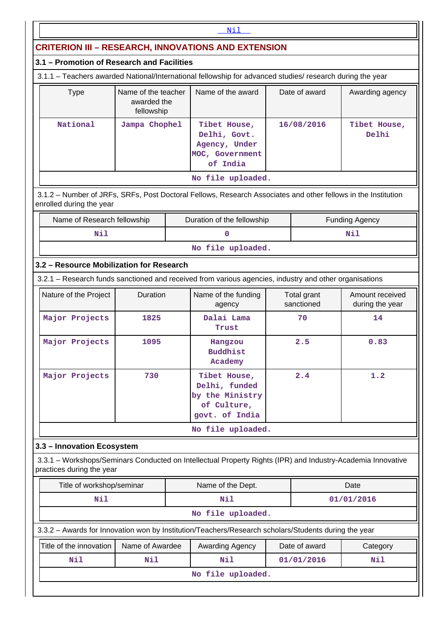| Nil                                                        |                                                  |                                                                                   |                                                                                                               |            |                           |                                    |  |  |
|------------------------------------------------------------|--------------------------------------------------|-----------------------------------------------------------------------------------|---------------------------------------------------------------------------------------------------------------|------------|---------------------------|------------------------------------|--|--|
| <b>CRITERION III – RESEARCH, INNOVATIONS AND EXTENSION</b> |                                                  |                                                                                   |                                                                                                               |            |                           |                                    |  |  |
| 3.1 - Promotion of Research and Facilities                 |                                                  |                                                                                   |                                                                                                               |            |                           |                                    |  |  |
|                                                            |                                                  |                                                                                   | 3.1.1 - Teachers awarded National/International fellowship for advanced studies/ research during the year     |            |                           |                                    |  |  |
| <b>Type</b>                                                | Name of the teacher<br>awarded the<br>fellowship |                                                                                   | Name of the award                                                                                             |            | Date of award             | Awarding agency                    |  |  |
| National                                                   | Jampa Chophel                                    |                                                                                   | Tibet House,<br>Delhi, Govt.<br>Agency, Under<br>MOC, Government<br>of India                                  | 16/08/2016 |                           | Tibet House,<br>Delhi              |  |  |
|                                                            |                                                  |                                                                                   | No file uploaded.                                                                                             |            |                           |                                    |  |  |
| enrolled during the year                                   |                                                  |                                                                                   | 3.1.2 - Number of JRFs, SRFs, Post Doctoral Fellows, Research Associates and other fellows in the Institution |            |                           |                                    |  |  |
| Name of Research fellowship                                |                                                  |                                                                                   | Duration of the fellowship                                                                                    |            |                           | <b>Funding Agency</b>              |  |  |
| Nil                                                        |                                                  |                                                                                   | $\Omega$                                                                                                      |            |                           | Nil                                |  |  |
|                                                            |                                                  |                                                                                   | No file uploaded.                                                                                             |            |                           |                                    |  |  |
| 3.2 - Resource Mobilization for Research                   |                                                  |                                                                                   |                                                                                                               |            |                           |                                    |  |  |
|                                                            |                                                  |                                                                                   | 3.2.1 - Research funds sanctioned and received from various agencies, industry and other organisations        |            |                           |                                    |  |  |
| Nature of the Project                                      | Duration                                         |                                                                                   | Name of the funding<br>agency                                                                                 |            | Total grant<br>sanctioned | Amount received<br>during the year |  |  |
| Major Projects                                             | 1825                                             |                                                                                   | Dalai Lama<br>Trust                                                                                           | 70         |                           | 14                                 |  |  |
| Major Projects                                             | 1095                                             |                                                                                   | Hangzou<br><b>Buddhist</b><br>Academy                                                                         | 2.5        |                           | 0.83                               |  |  |
| Major Projects                                             | 730                                              | Tibet House,<br>Delhi, funded<br>by the Ministry<br>of Culture,<br>govt. of India |                                                                                                               |            | 2.4                       | 1.2                                |  |  |
|                                                            |                                                  |                                                                                   | No file uploaded.                                                                                             |            |                           |                                    |  |  |
| 3.3 - Innovation Ecosystem                                 |                                                  |                                                                                   |                                                                                                               |            |                           |                                    |  |  |
| practices during the year                                  |                                                  |                                                                                   | 3.3.1 - Workshops/Seminars Conducted on Intellectual Property Rights (IPR) and Industry-Academia Innovative   |            |                           |                                    |  |  |
| Title of workshop/seminar                                  |                                                  |                                                                                   | Name of the Dept.                                                                                             |            |                           | Date                               |  |  |
| Nil                                                        |                                                  |                                                                                   | Nil                                                                                                           |            |                           | 01/01/2016                         |  |  |
|                                                            |                                                  |                                                                                   | No file uploaded.                                                                                             |            |                           |                                    |  |  |
|                                                            |                                                  |                                                                                   | 3.3.2 - Awards for Innovation won by Institution/Teachers/Research scholars/Students during the year          |            |                           |                                    |  |  |
| Title of the innovation                                    | Name of Awardee                                  |                                                                                   | Awarding Agency                                                                                               |            | Date of award             | Category                           |  |  |
| Nil                                                        | Nil                                              |                                                                                   | Nil                                                                                                           |            | 01/01/2016                | Nil                                |  |  |
|                                                            |                                                  |                                                                                   | No file uploaded.                                                                                             |            |                           |                                    |  |  |
|                                                            |                                                  |                                                                                   |                                                                                                               |            |                           |                                    |  |  |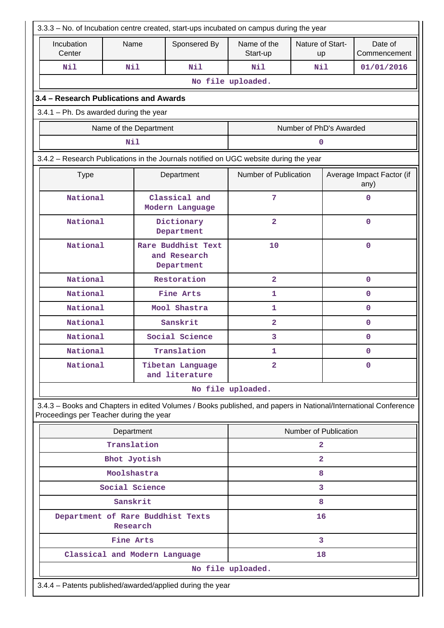| 3.3.3 - No. of Incubation centre created, start-ups incubated on campus during the year                                                                    |                                                           |                        |                                                  |                         |                         |              |                                   |  |
|------------------------------------------------------------------------------------------------------------------------------------------------------------|-----------------------------------------------------------|------------------------|--------------------------------------------------|-------------------------|-------------------------|--------------|-----------------------------------|--|
| Incubation<br>Center                                                                                                                                       | Name                                                      |                        | Sponsered By                                     | Name of the<br>Start-up | Nature of Start-<br>up  |              | Date of<br>Commencement           |  |
| Nil                                                                                                                                                        | Nil                                                       |                        | Nil                                              | Nil                     | Nil                     |              | 01/01/2016                        |  |
|                                                                                                                                                            |                                                           |                        |                                                  | No file uploaded.       |                         |              |                                   |  |
| 3.4 - Research Publications and Awards                                                                                                                     |                                                           |                        |                                                  |                         |                         |              |                                   |  |
| $3.4.1$ – Ph. Ds awarded during the year                                                                                                                   |                                                           |                        |                                                  |                         |                         |              |                                   |  |
|                                                                                                                                                            |                                                           | Name of the Department |                                                  |                         | Number of PhD's Awarded |              |                                   |  |
|                                                                                                                                                            | Nil                                                       |                        |                                                  |                         | 0                       |              |                                   |  |
| 3.4.2 - Research Publications in the Journals notified on UGC website during the year                                                                      |                                                           |                        |                                                  |                         |                         |              |                                   |  |
| <b>Type</b>                                                                                                                                                |                                                           |                        | Department                                       | Number of Publication   |                         |              | Average Impact Factor (if<br>any) |  |
| National                                                                                                                                                   |                                                           |                        | Classical and<br>Modern Language                 | 7                       |                         |              | 0                                 |  |
| National                                                                                                                                                   |                                                           |                        | Dictionary<br>Department                         | $\overline{\mathbf{2}}$ |                         |              | 0                                 |  |
|                                                                                                                                                            | National                                                  |                        | Rare Buddhist Text<br>and Research<br>Department | 10                      |                         |              | $\mathbf 0$                       |  |
| National                                                                                                                                                   |                                                           |                        | Restoration                                      | $\overline{2}$          |                         | 0            |                                   |  |
| National                                                                                                                                                   |                                                           |                        | <b>Fine Arts</b>                                 | 1                       |                         | 0            |                                   |  |
|                                                                                                                                                            | National<br>Mool Shastra                                  |                        | 1                                                |                         | 0                       |              |                                   |  |
| National                                                                                                                                                   |                                                           |                        | Sanskrit                                         | $\overline{2}$          |                         | $\mathbf{O}$ |                                   |  |
| National                                                                                                                                                   |                                                           |                        | Social Science                                   | 3                       |                         | 0            |                                   |  |
| National                                                                                                                                                   |                                                           |                        | Translation                                      | 1                       |                         |              | 0                                 |  |
| National                                                                                                                                                   |                                                           |                        | Tibetan Language<br>and literature               | $\overline{2}$          |                         |              | 0                                 |  |
|                                                                                                                                                            |                                                           |                        |                                                  | No file uploaded.       |                         |              |                                   |  |
| 3.4.3 - Books and Chapters in edited Volumes / Books published, and papers in National/International Conference<br>Proceedings per Teacher during the year |                                                           |                        |                                                  |                         |                         |              |                                   |  |
|                                                                                                                                                            | Department                                                |                        |                                                  |                         | Number of Publication   |              |                                   |  |
|                                                                                                                                                            |                                                           | Translation            |                                                  |                         | $\overline{a}$          |              |                                   |  |
|                                                                                                                                                            | Bhot Jyotish                                              |                        |                                                  |                         | $\overline{a}$          |              |                                   |  |
|                                                                                                                                                            | Moolshastra                                               |                        |                                                  |                         | 8                       |              |                                   |  |
|                                                                                                                                                            |                                                           | Social Science         |                                                  |                         | 3                       |              |                                   |  |
|                                                                                                                                                            | Sanskrit                                                  |                        |                                                  |                         | 8                       |              |                                   |  |
| Department of Rare Buddhist Texts                                                                                                                          | Research                                                  |                        |                                                  |                         | 16                      |              |                                   |  |
|                                                                                                                                                            | Fine Arts                                                 |                        |                                                  | 3                       |                         |              |                                   |  |
| Classical and Modern Language                                                                                                                              |                                                           |                        |                                                  |                         | 18                      |              |                                   |  |
|                                                                                                                                                            |                                                           |                        |                                                  | No file uploaded.       |                         |              |                                   |  |
|                                                                                                                                                            | 3.4.4 - Patents published/awarded/applied during the year |                        |                                                  |                         |                         |              |                                   |  |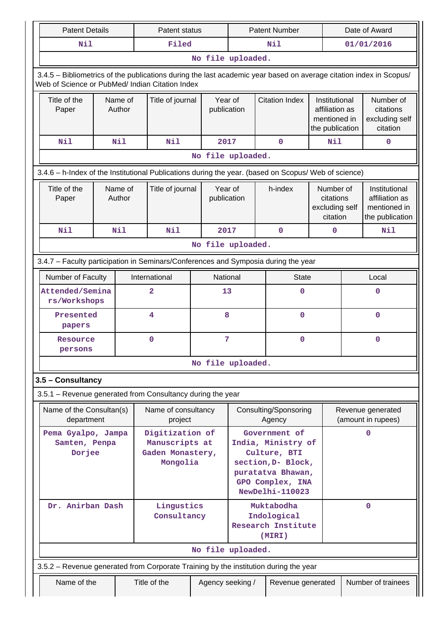|                                                                                    | <b>Patent Details</b>   |                   |                   | Patent status                                                     |                        |                                  | <b>Patent Number</b>                                                                                                                  |                                                                    |   | Date of Award                                                                                                      |
|------------------------------------------------------------------------------------|-------------------------|-------------------|-------------------|-------------------------------------------------------------------|------------------------|----------------------------------|---------------------------------------------------------------------------------------------------------------------------------------|--------------------------------------------------------------------|---|--------------------------------------------------------------------------------------------------------------------|
|                                                                                    | Nil                     |                   |                   | Filed                                                             |                        |                                  | Nil                                                                                                                                   |                                                                    |   | 01/01/2016                                                                                                         |
|                                                                                    |                         |                   |                   |                                                                   | No file uploaded.      |                                  |                                                                                                                                       |                                                                    |   |                                                                                                                    |
|                                                                                    |                         |                   |                   | Web of Science or PubMed/ Indian Citation Index                   |                        |                                  |                                                                                                                                       |                                                                    |   | 3.4.5 - Bibliometrics of the publications during the last academic year based on average citation index in Scopus/ |
| Title of the<br>Paper                                                              |                         |                   | Name of<br>Author | Title of journal<br>publication                                   |                        | <b>Citation Index</b><br>Year of |                                                                                                                                       | Institutional<br>affiliation as<br>mentioned in<br>the publication |   | Number of<br>citations<br>excluding self<br>citation                                                               |
| Nil                                                                                |                         |                   | Nil               | Nil                                                               | 2017                   |                                  | $\mathbf 0$                                                                                                                           | Nil                                                                |   | $\mathbf 0$                                                                                                        |
|                                                                                    |                         |                   |                   |                                                                   | No file uploaded.      |                                  |                                                                                                                                       |                                                                    |   |                                                                                                                    |
|                                                                                    |                         |                   |                   |                                                                   |                        |                                  | 3.4.6 - h-Index of the Institutional Publications during the year. (based on Scopus/ Web of science)                                  |                                                                    |   |                                                                                                                    |
| Title of the<br>Paper                                                              |                         | Name of<br>Author |                   | Title of journal                                                  | Year of<br>publication |                                  | h-index                                                                                                                               | Number of<br>citations<br>excluding self<br>citation               |   | Institutional<br>affiliation as<br>mentioned in<br>the publication                                                 |
| Nil                                                                                |                         |                   | Nil               | Nil                                                               | 2017                   |                                  | $\mathbf 0$                                                                                                                           | $\mathbf 0$                                                        |   | Nil                                                                                                                |
|                                                                                    |                         |                   |                   |                                                                   | No file uploaded.      |                                  |                                                                                                                                       |                                                                    |   |                                                                                                                    |
| 3.4.7 - Faculty participation in Seminars/Conferences and Symposia during the year |                         |                   |                   |                                                                   |                        |                                  |                                                                                                                                       |                                                                    |   |                                                                                                                    |
| Number of Faculty<br>International                                                 |                         |                   |                   |                                                                   | National               |                                  | <b>State</b>                                                                                                                          |                                                                    |   | Local                                                                                                              |
| Attended/Semina<br>rs/Workshops                                                    |                         |                   |                   | $\overline{a}$                                                    | 13                     |                                  | 0                                                                                                                                     |                                                                    |   | 0                                                                                                                  |
|                                                                                    | Presented<br>papers     |                   |                   | 4                                                                 | 8                      |                                  | $\mathbf 0$                                                                                                                           |                                                                    |   | $\mathbf 0$                                                                                                        |
|                                                                                    | Resource<br>persons     |                   |                   | 0                                                                 | 7                      |                                  | 0                                                                                                                                     |                                                                    |   | $\mathbf 0$                                                                                                        |
|                                                                                    |                         |                   |                   |                                                                   | No file uploaded.      |                                  |                                                                                                                                       |                                                                    |   |                                                                                                                    |
| 3.5 - Consultancy                                                                  |                         |                   |                   |                                                                   |                        |                                  |                                                                                                                                       |                                                                    |   |                                                                                                                    |
|                                                                                    |                         |                   |                   | 3.5.1 - Revenue generated from Consultancy during the year        |                        |                                  |                                                                                                                                       |                                                                    |   |                                                                                                                    |
| Name of the Consultan(s)                                                           | department              |                   |                   | Name of consultancy<br>project                                    |                        |                                  | Consulting/Sponsoring<br>Agency                                                                                                       |                                                                    |   | Revenue generated<br>(amount in rupees)                                                                            |
| Pema Gyalpo, Jampa                                                                 | Samten, Penpa<br>Dorjee |                   |                   | Digitization of<br>Manuscripts at<br>Gaden Monastery,<br>Mongolia |                        |                                  | Government of<br>India, Ministry of<br>Culture, BTI<br>section, D- Block,<br>puratatva Bhawan,<br>GPO Complex, INA<br>NewDelhi-110023 |                                                                    | 0 |                                                                                                                    |
| Dr. Anirban Dash                                                                   |                         |                   |                   | Lingustics<br>Consultancy                                         |                        |                                  | Muktabodha<br>Indological<br>Research Institute<br>(MIRI)                                                                             |                                                                    |   | $\mathbf{0}$                                                                                                       |
|                                                                                    |                         |                   |                   |                                                                   | No file uploaded.      |                                  |                                                                                                                                       |                                                                    |   |                                                                                                                    |
|                                                                                    |                         |                   |                   |                                                                   |                        |                                  | 3.5.2 - Revenue generated from Corporate Training by the institution during the year                                                  |                                                                    |   |                                                                                                                    |
|                                                                                    | Name of the             |                   |                   | Title of the                                                      | Agency seeking /       |                                  | Revenue generated                                                                                                                     |                                                                    |   | Number of trainees                                                                                                 |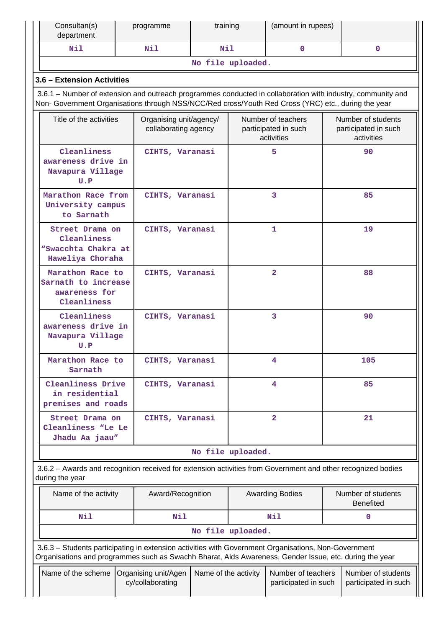| Consultan(s)<br>department                                                                                                                                                                                         |  | programme                                       | training             |    | (amount in rupees)                                       |                                                          |                                            |  |
|--------------------------------------------------------------------------------------------------------------------------------------------------------------------------------------------------------------------|--|-------------------------------------------------|----------------------|----|----------------------------------------------------------|----------------------------------------------------------|--------------------------------------------|--|
| Nil                                                                                                                                                                                                                |  | Nil                                             | Nil                  |    | $\mathbf{0}$                                             |                                                          | 0                                          |  |
|                                                                                                                                                                                                                    |  |                                                 | No file uploaded.    |    |                                                          |                                                          |                                            |  |
| 3.6 - Extension Activities                                                                                                                                                                                         |  |                                                 |                      |    |                                                          |                                                          |                                            |  |
| 3.6.1 – Number of extension and outreach programmes conducted in collaboration with industry, community and<br>Non- Government Organisations through NSS/NCC/Red cross/Youth Red Cross (YRC) etc., during the year |  |                                                 |                      |    |                                                          |                                                          |                                            |  |
| Title of the activities                                                                                                                                                                                            |  | Organising unit/agency/<br>collaborating agency |                      |    | Number of teachers<br>participated in such<br>activities | Number of students<br>participated in such<br>activities |                                            |  |
| Cleanliness<br>awareness drive in<br>Navapura Village<br>U.P                                                                                                                                                       |  | CIHTS, Varanasi                                 |                      | 5. |                                                          |                                                          | 90                                         |  |
| Marathon Race from<br>University campus<br>to Sarnath                                                                                                                                                              |  | CIHTS, Varanasi                                 |                      |    | 3                                                        |                                                          | 85                                         |  |
| Street Drama on<br>Cleanliness<br>"Swacchta Chakra at<br>Haweliya Choraha                                                                                                                                          |  | CIHTS, Varanasi                                 |                      |    | $\mathbf{1}$                                             |                                                          | 19                                         |  |
| Marathon Race to<br>Sarnath to increase<br>awareness for<br>Cleanliness                                                                                                                                            |  | CIHTS, Varanasi                                 |                      |    | $\overline{2}$                                           |                                                          | 88                                         |  |
| Cleanliness<br>awareness drive in<br>Navapura Village<br>U.P                                                                                                                                                       |  | CIHTS, Varanasi                                 |                      |    | 3                                                        |                                                          | 90                                         |  |
| Marathon Race to<br>Sarnath                                                                                                                                                                                        |  | CIHTS, Varanasi                                 |                      |    | 4                                                        |                                                          | 105                                        |  |
| Cleanliness Drive<br>in residential<br>premises and roads                                                                                                                                                          |  | CIHTS, Varanasi                                 |                      |    | 4                                                        |                                                          | 85                                         |  |
| Street Drama on<br>Cleanliness "Le Le<br>Jhadu Aa jaau"                                                                                                                                                            |  | CIHTS, Varanasi                                 |                      |    | $\overline{2}$                                           |                                                          | 21                                         |  |
|                                                                                                                                                                                                                    |  |                                                 | No file uploaded.    |    |                                                          |                                                          |                                            |  |
| 3.6.2 - Awards and recognition received for extension activities from Government and other recognized bodies<br>during the year                                                                                    |  |                                                 |                      |    |                                                          |                                                          |                                            |  |
| Name of the activity                                                                                                                                                                                               |  | Award/Recognition                               |                      |    | <b>Awarding Bodies</b>                                   |                                                          | Number of students<br><b>Benefited</b>     |  |
| Nil                                                                                                                                                                                                                |  | Nil                                             |                      |    | Nil                                                      |                                                          | 0                                          |  |
|                                                                                                                                                                                                                    |  |                                                 | No file uploaded.    |    |                                                          |                                                          |                                            |  |
| 3.6.3 - Students participating in extension activities with Government Organisations, Non-Government<br>Organisations and programmes such as Swachh Bharat, Aids Awareness, Gender Issue, etc. during the year     |  |                                                 |                      |    |                                                          |                                                          |                                            |  |
| Name of the scheme                                                                                                                                                                                                 |  | Organising unit/Agen<br>cy/collaborating        | Name of the activity |    | Number of teachers<br>participated in such               |                                                          | Number of students<br>participated in such |  |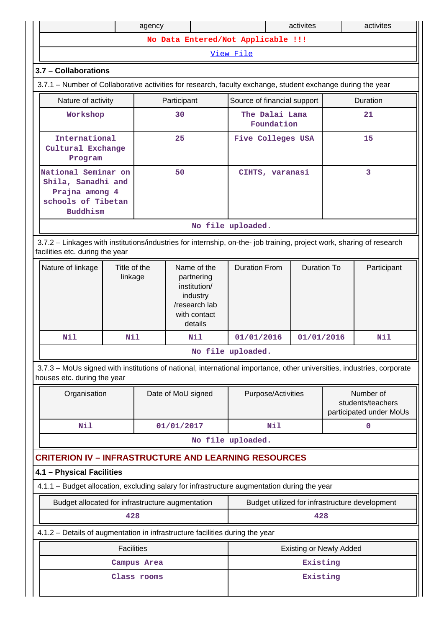|                                                                                                                                                          |                         | agency      |                                                                                                   |                             |                    | activites                      |    | activites                                                 |
|----------------------------------------------------------------------------------------------------------------------------------------------------------|-------------------------|-------------|---------------------------------------------------------------------------------------------------|-----------------------------|--------------------|--------------------------------|----|-----------------------------------------------------------|
|                                                                                                                                                          |                         |             | No Data Entered/Not Applicable !!!                                                                |                             |                    |                                |    |                                                           |
|                                                                                                                                                          |                         |             |                                                                                                   | View File                   |                    |                                |    |                                                           |
| 3.7 - Collaborations                                                                                                                                     |                         |             |                                                                                                   |                             |                    |                                |    |                                                           |
| 3.7.1 – Number of Collaborative activities for research, faculty exchange, student exchange during the year                                              |                         |             |                                                                                                   |                             |                    |                                |    |                                                           |
| Nature of activity                                                                                                                                       |                         |             | Participant                                                                                       | Source of financial support |                    |                                |    | <b>Duration</b>                                           |
| Workshop                                                                                                                                                 |                         |             | 30                                                                                                | The Dalai Lama              | Foundation         |                                | 21 |                                                           |
| International<br>Cultural Exchange<br>Program                                                                                                            |                         |             | 25                                                                                                | Five Colleges USA           |                    |                                |    | 15                                                        |
| National Seminar on<br>Shila, Samadhi and<br>Prajna among 4<br>schools of Tibetan<br><b>Buddhism</b>                                                     |                         |             | 50                                                                                                | CIHTS, varanasi             |                    |                                |    | 3                                                         |
|                                                                                                                                                          |                         |             |                                                                                                   | No file uploaded.           |                    |                                |    |                                                           |
| 3.7.2 - Linkages with institutions/industries for internship, on-the- job training, project work, sharing of research<br>facilities etc. during the year |                         |             |                                                                                                   |                             |                    |                                |    |                                                           |
| Nature of linkage                                                                                                                                        | Title of the<br>linkage |             | Name of the<br>partnering<br>institution/<br>industry<br>/research lab<br>with contact<br>details | <b>Duration From</b>        |                    | <b>Duration To</b>             |    | Participant                                               |
| Nil                                                                                                                                                      | Nil                     |             | Nil                                                                                               | 01/01/2016                  |                    | 01/01/2016                     |    | Nil                                                       |
|                                                                                                                                                          |                         |             |                                                                                                   | No file uploaded            |                    |                                |    |                                                           |
| 3.7.3 – MoUs signed with institutions of national, international importance, other universities, industries, corporate<br>houses etc. during the year    |                         |             |                                                                                                   |                             |                    |                                |    |                                                           |
| Organisation                                                                                                                                             |                         |             | Date of MoU signed                                                                                |                             | Purpose/Activities |                                |    | Number of<br>students/teachers<br>participated under MoUs |
| Nil                                                                                                                                                      |                         |             | 01/01/2017                                                                                        |                             | Nil                |                                |    | $\mathbf 0$                                               |
|                                                                                                                                                          |                         |             |                                                                                                   | No file uploaded.           |                    |                                |    |                                                           |
| <b>CRITERION IV - INFRASTRUCTURE AND LEARNING RESOURCES</b>                                                                                              |                         |             |                                                                                                   |                             |                    |                                |    |                                                           |
| 4.1 - Physical Facilities                                                                                                                                |                         |             |                                                                                                   |                             |                    |                                |    |                                                           |
| 4.1.1 - Budget allocation, excluding salary for infrastructure augmentation during the year                                                              |                         |             |                                                                                                   |                             |                    |                                |    |                                                           |
| Budget allocated for infrastructure augmentation                                                                                                         |                         |             |                                                                                                   |                             |                    |                                |    | Budget utilized for infrastructure development            |
|                                                                                                                                                          | 428                     |             |                                                                                                   |                             |                    | 428                            |    |                                                           |
| 4.1.2 - Details of augmentation in infrastructure facilities during the year                                                                             |                         |             |                                                                                                   |                             |                    |                                |    |                                                           |
|                                                                                                                                                          | <b>Facilities</b>       |             |                                                                                                   |                             |                    | <b>Existing or Newly Added</b> |    |                                                           |
|                                                                                                                                                          |                         | Campus Area |                                                                                                   |                             |                    | Existing                       |    |                                                           |
|                                                                                                                                                          |                         | Class rooms |                                                                                                   |                             |                    | Existing                       |    |                                                           |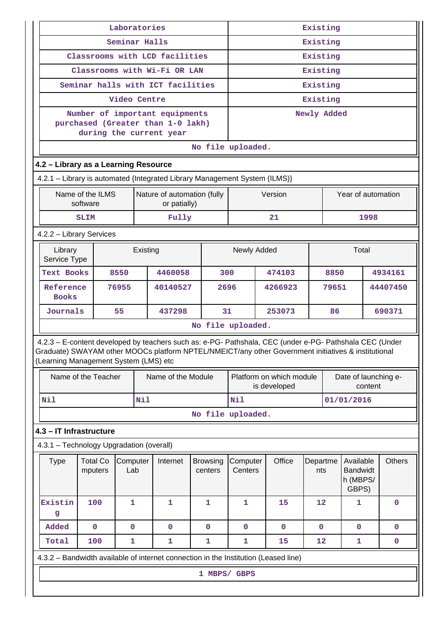|                                                                                                                                                                                                                                                         |                                                              | Laboratories    |          |                                             |                            | Existing             |                                                                             |             |                 |       |                                                   |      |             |
|---------------------------------------------------------------------------------------------------------------------------------------------------------------------------------------------------------------------------------------------------------|--------------------------------------------------------------|-----------------|----------|---------------------------------------------|----------------------------|----------------------|-----------------------------------------------------------------------------|-------------|-----------------|-------|---------------------------------------------------|------|-------------|
|                                                                                                                                                                                                                                                         |                                                              | Seminar Halls   |          |                                             |                            | Existing             |                                                                             |             |                 |       |                                                   |      |             |
|                                                                                                                                                                                                                                                         | Classrooms with LCD facilities                               |                 |          |                                             |                            |                      |                                                                             |             | Existing        |       |                                                   |      |             |
|                                                                                                                                                                                                                                                         | Classrooms with Wi-Fi OR LAN                                 |                 |          |                                             |                            |                      |                                                                             |             | Existing        |       |                                                   |      |             |
|                                                                                                                                                                                                                                                         | Seminar halls with ICT facilities                            |                 |          |                                             |                            |                      |                                                                             |             | Existing        |       |                                                   |      |             |
|                                                                                                                                                                                                                                                         | Video Centre                                                 |                 |          |                                             |                            |                      |                                                                             |             | Existing        |       |                                                   |      |             |
|                                                                                                                                                                                                                                                         | Number of important equipments                               |                 |          |                                             |                            |                      |                                                                             |             | Newly Added     |       |                                                   |      |             |
|                                                                                                                                                                                                                                                         | purchased (Greater than 1-0 lakh)<br>during the current year |                 |          |                                             |                            |                      |                                                                             |             |                 |       |                                                   |      |             |
|                                                                                                                                                                                                                                                         |                                                              |                 |          |                                             | No file uploaded.          |                      |                                                                             |             |                 |       |                                                   |      |             |
| 4.2 - Library as a Learning Resource                                                                                                                                                                                                                    |                                                              |                 |          |                                             |                            |                      |                                                                             |             |                 |       |                                                   |      |             |
| 4.2.1 - Library is automated {Integrated Library Management System (ILMS)}                                                                                                                                                                              |                                                              |                 |          |                                             |                            |                      |                                                                             |             |                 |       |                                                   |      |             |
|                                                                                                                                                                                                                                                         | Name of the ILMS<br>software                                 |                 |          | Nature of automation (fully<br>or patially) |                            |                      |                                                                             | Version     |                 |       | Year of automation                                |      |             |
|                                                                                                                                                                                                                                                         | <b>SLIM</b>                                                  |                 |          | Fully                                       |                            |                      |                                                                             | 21          |                 |       |                                                   | 1998 |             |
| 4.2.2 - Library Services                                                                                                                                                                                                                                |                                                              |                 |          |                                             |                            |                      |                                                                             |             |                 |       |                                                   |      |             |
| Library<br>Service Type                                                                                                                                                                                                                                 |                                                              |                 | Existing |                                             |                            | Newly Added<br>Total |                                                                             |             |                 |       |                                                   |      |             |
| <b>Text Books</b>                                                                                                                                                                                                                                       |                                                              | 8550            |          | 4460058                                     |                            | 300                  |                                                                             | 474103      |                 | 8850  |                                                   |      | 4934161     |
| Reference<br><b>Books</b>                                                                                                                                                                                                                               |                                                              | 76955           |          | 40140527                                    |                            | 2696                 |                                                                             | 4266923     |                 | 79651 |                                                   |      | 44407450    |
| Journals                                                                                                                                                                                                                                                |                                                              | 55              |          | 437298                                      |                            | 31                   |                                                                             | 253073      |                 | 86    |                                                   |      | 690371      |
|                                                                                                                                                                                                                                                         |                                                              |                 |          |                                             | No file uploaded.          |                      |                                                                             |             |                 |       |                                                   |      |             |
| 4.2.3 - E-content developed by teachers such as: e-PG- Pathshala, CEC (under e-PG- Pathshala CEC (Under<br>Graduate) SWAYAM other MOOCs platform NPTEL/NMEICT/any other Government initiatives & institutional<br>(Learning Management System (LMS) etc |                                                              |                 |          |                                             |                            |                      |                                                                             |             |                 |       |                                                   |      |             |
|                                                                                                                                                                                                                                                         | Name of the Teacher                                          |                 |          | Name of the Module                          |                            |                      | Platform on which module<br>Date of launching e-<br>is developed<br>content |             |                 |       |                                                   |      |             |
| Nil                                                                                                                                                                                                                                                     |                                                              |                 | Nil      |                                             |                            | Nil                  |                                                                             |             |                 |       | 01/01/2016                                        |      |             |
|                                                                                                                                                                                                                                                         |                                                              |                 |          |                                             | No file uploaded.          |                      |                                                                             |             |                 |       |                                                   |      |             |
| 4.3 - IT Infrastructure                                                                                                                                                                                                                                 |                                                              |                 |          |                                             |                            |                      |                                                                             |             |                 |       |                                                   |      |             |
| 4.3.1 - Technology Upgradation (overall)                                                                                                                                                                                                                |                                                              |                 |          |                                             |                            |                      |                                                                             |             |                 |       |                                                   |      |             |
| <b>Type</b>                                                                                                                                                                                                                                             | <b>Total Co</b><br>mputers                                   | Computer<br>Lab |          | Internet                                    | <b>Browsing</b><br>centers | Computer<br>Centers  |                                                                             | Office      | Departme<br>nts |       | Available<br><b>Bandwidt</b><br>h (MBPS/<br>GBPS) |      | Others      |
| Existin<br>g                                                                                                                                                                                                                                            | 100                                                          | 1               |          | 1                                           | 1                          | 1                    |                                                                             | 15          | 12              |       | 1                                                 |      | 0           |
| Added                                                                                                                                                                                                                                                   | $\pmb{0}$                                                    | $\pmb{0}$       |          | $\mathbf 0$                                 | $\mathbf 0$                | $\mathbf 0$          |                                                                             | $\mathbf 0$ | $\mathbf 0$     |       | $\mathbf 0$                                       |      | $\mathbf 0$ |
| Total                                                                                                                                                                                                                                                   | 100                                                          | 1               |          | 1                                           | 1                          | 1                    |                                                                             | 15          | 12              |       | 1                                                 |      | 0           |
| 4.3.2 - Bandwidth available of internet connection in the Institution (Leased line)                                                                                                                                                                     |                                                              |                 |          |                                             |                            |                      |                                                                             |             |                 |       |                                                   |      |             |
|                                                                                                                                                                                                                                                         |                                                              |                 |          |                                             |                            | 1 MBPS/ GBPS         |                                                                             |             |                 |       |                                                   |      |             |
|                                                                                                                                                                                                                                                         |                                                              |                 |          |                                             |                            |                      |                                                                             |             |                 |       |                                                   |      |             |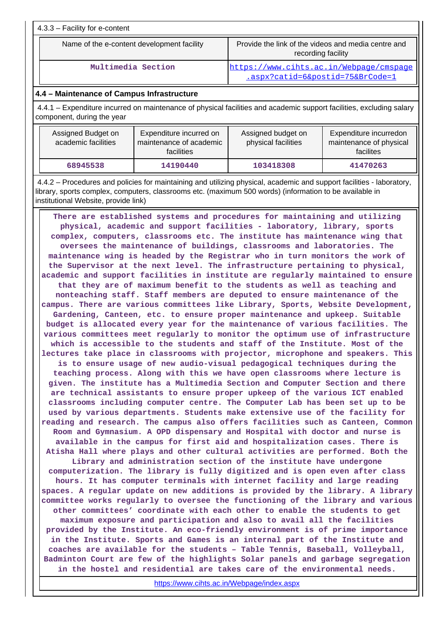| $4.3.3 -$ Facility for e-content           |                                                                           |
|--------------------------------------------|---------------------------------------------------------------------------|
| Name of the e-content development facility | Provide the link of the videos and media centre and<br>recording facility |
| Multimedia Section                         | https://www.cihts.ac.in/Webpage/cmspage                                   |

[.aspx?catid=6&postid=75&BrCode=1](https://www.cihts.ac.in/Webpage/cmspage.aspx?catid=6&postid=75&BrCode=1)

# **4.4 – Maintenance of Campus Infrastructure**

 4.4.1 – Expenditure incurred on maintenance of physical facilities and academic support facilities, excluding salary component, during the year

| Assigned Budget on<br>academic facilities | Expenditure incurred on<br>maintenance of academic<br><b>facilities</b> | Assigned budget on<br>physical facilities | Expenditure incurredon<br>maintenance of physical<br>facilites |
|-------------------------------------------|-------------------------------------------------------------------------|-------------------------------------------|----------------------------------------------------------------|
| 68945538                                  | 14190440                                                                | 103418308                                 | 41470263                                                       |

 4.4.2 – Procedures and policies for maintaining and utilizing physical, academic and support facilities - laboratory, library, sports complex, computers, classrooms etc. (maximum 500 words) (information to be available in institutional Website, provide link)

 **There are established systems and procedures for maintaining and utilizing physical, academic and support facilities - laboratory, library, sports complex, computers, classrooms etc. The institute has maintenance wing that oversees the maintenance of buildings, classrooms and laboratories. The maintenance wing is headed by the Registrar who in turn monitors the work of the Supervisor at the next level. The infrastructure pertaining to physical, academic and support facilities in institute are regularly maintained to ensure that they are of maximum benefit to the students as well as teaching and nonteaching staff. Staff members are deputed to ensure maintenance of the campus. There are various committees like Library, Sports, Website Development, Gardening, Canteen, etc. to ensure proper maintenance and upkeep. Suitable budget is allocated every year for the maintenance of various facilities. The various committees meet regularly to monitor the optimum use of infrastructure which is accessible to the students and staff of the Institute. Most of the lectures take place in classrooms with projector, microphone and speakers. This is to ensure usage of new audio-visual pedagogical techniques during the teaching process. Along with this we have open classrooms where lecture is given. The institute has a Multimedia Section and Computer Section and there are technical assistants to ensure proper upkeep of the various ICT enabled classrooms including computer centre. The Computer Lab has been set up to be used by various departments. Students make extensive use of the facility for reading and research. The campus also offers facilities such as Canteen, Common Room and Gymnasium. A OPD dispensary and Hospital with doctor and nurse is available in the campus for first aid and hospitalization cases. There is Atisha Hall where plays and other cultural activities are performed. Both the Library and administration section of the institute have undergone computerization. The library is fully digitized and is open even after class hours. It has computer terminals with internet facility and large reading spaces. A regular update on new additions is provided by the library. A library committee works regularly to oversee the functioning of the library and various other committees' coordinate with each other to enable the students to get maximum exposure and participation and also to avail all the facilities provided by the Institute. An eco-friendly environment is of prime importance in the Institute. Sports and Games is an internal part of the Institute and coaches are available for the students – Table Tennis, Baseball, Volleyball, Badminton Court are few of the highlights Solar panels and garbage segregation in the hostel and residential are takes care of the environmental needs.**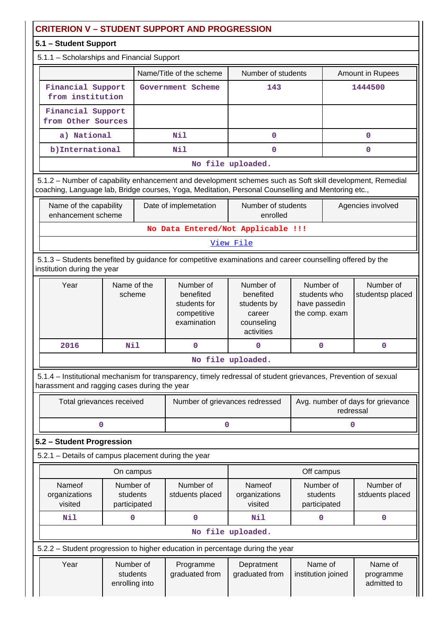| <b>CRITERION V - STUDENT SUPPORT AND PROGRESSION</b>                                                                                                                                                            |                                         |  |                                                                      |                                                                             |                                                              |           |                                     |  |
|-----------------------------------------------------------------------------------------------------------------------------------------------------------------------------------------------------------------|-----------------------------------------|--|----------------------------------------------------------------------|-----------------------------------------------------------------------------|--------------------------------------------------------------|-----------|-------------------------------------|--|
| 5.1 - Student Support                                                                                                                                                                                           |                                         |  |                                                                      |                                                                             |                                                              |           |                                     |  |
| 5.1.1 - Scholarships and Financial Support                                                                                                                                                                      |                                         |  |                                                                      |                                                                             |                                                              |           |                                     |  |
|                                                                                                                                                                                                                 |                                         |  | Name/Title of the scheme                                             | Number of students                                                          |                                                              |           | Amount in Rupees                    |  |
| Financial Support<br>from institution                                                                                                                                                                           |                                         |  | Government Scheme                                                    | 143                                                                         |                                                              |           | 1444500                             |  |
| Financial Support<br>from Other Sources                                                                                                                                                                         |                                         |  |                                                                      |                                                                             |                                                              |           |                                     |  |
| a) National                                                                                                                                                                                                     |                                         |  | <b>Nil</b>                                                           | $\mathbf 0$                                                                 |                                                              |           | 0                                   |  |
| b) International                                                                                                                                                                                                |                                         |  | Nil                                                                  | $\mathbf 0$                                                                 |                                                              |           | 0                                   |  |
|                                                                                                                                                                                                                 |                                         |  |                                                                      | No file uploaded.                                                           |                                                              |           |                                     |  |
| 5.1.2 - Number of capability enhancement and development schemes such as Soft skill development, Remedial<br>coaching, Language lab, Bridge courses, Yoga, Meditation, Personal Counselling and Mentoring etc., |                                         |  |                                                                      |                                                                             |                                                              |           |                                     |  |
| Name of the capability<br>enhancement scheme                                                                                                                                                                    |                                         |  | Date of implemetation                                                | Number of students<br>enrolled                                              |                                                              |           | Agencies involved                   |  |
|                                                                                                                                                                                                                 |                                         |  | No Data Entered/Not Applicable !!!                                   |                                                                             |                                                              |           |                                     |  |
| View File                                                                                                                                                                                                       |                                         |  |                                                                      |                                                                             |                                                              |           |                                     |  |
| 5.1.3 - Students benefited by guidance for competitive examinations and career counselling offered by the<br>institution during the year                                                                        |                                         |  |                                                                      |                                                                             |                                                              |           |                                     |  |
| Year                                                                                                                                                                                                            | Name of the<br>scheme                   |  | Number of<br>benefited<br>students for<br>competitive<br>examination | Number of<br>benefited<br>students by<br>career<br>counseling<br>activities | Number of<br>students who<br>have passedin<br>the comp. exam |           | Number of<br>studentsp placed       |  |
| 2016                                                                                                                                                                                                            | Nil                                     |  | $\mathbf 0$                                                          | $\mathbf 0$                                                                 | 0                                                            |           | $\mathbf 0$                         |  |
|                                                                                                                                                                                                                 |                                         |  |                                                                      | No file uploaded.                                                           |                                                              |           |                                     |  |
| 5.1.4 – Institutional mechanism for transparency, timely redressal of student grievances, Prevention of sexual<br>harassment and ragging cases during the year                                                  |                                         |  |                                                                      |                                                                             |                                                              |           |                                     |  |
| Total grievances received                                                                                                                                                                                       |                                         |  | Number of grievances redressed                                       |                                                                             |                                                              | redressal | Avg. number of days for grievance   |  |
| 0                                                                                                                                                                                                               |                                         |  | 0                                                                    |                                                                             |                                                              | 0         |                                     |  |
| 5.2 - Student Progression                                                                                                                                                                                       |                                         |  |                                                                      |                                                                             |                                                              |           |                                     |  |
| 5.2.1 - Details of campus placement during the year                                                                                                                                                             |                                         |  |                                                                      |                                                                             |                                                              |           |                                     |  |
|                                                                                                                                                                                                                 | On campus                               |  |                                                                      |                                                                             | Off campus                                                   |           |                                     |  |
| Nameof<br>organizations<br>visited                                                                                                                                                                              | Number of<br>students<br>participated   |  | Number of<br>stduents placed                                         | Nameof<br>organizations<br>visited                                          | Number of<br>students<br>participated                        |           | Number of<br>stduents placed        |  |
| Nil                                                                                                                                                                                                             | 0                                       |  | 0                                                                    | Nil                                                                         | 0                                                            |           | 0                                   |  |
|                                                                                                                                                                                                                 |                                         |  |                                                                      | No file uploaded.                                                           |                                                              |           |                                     |  |
| 5.2.2 - Student progression to higher education in percentage during the year                                                                                                                                   |                                         |  |                                                                      |                                                                             |                                                              |           |                                     |  |
| Year                                                                                                                                                                                                            | Number of<br>students<br>enrolling into |  | Programme<br>graduated from                                          | Depratment<br>graduated from                                                | Name of<br>institution joined                                |           | Name of<br>programme<br>admitted to |  |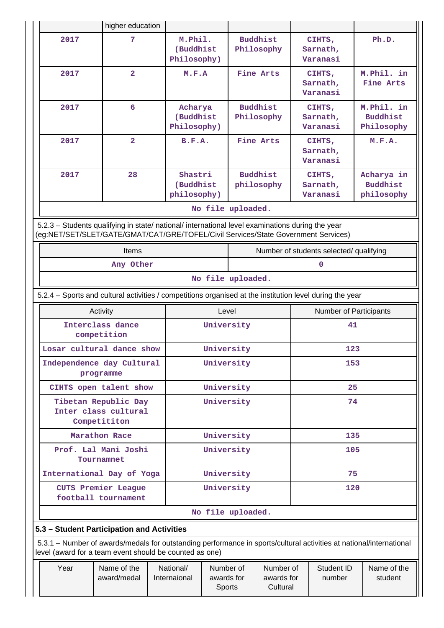|                                                                                                                                                                                        | higher education                                             |  |                                     |                                   |                   |                                     |     |                                         |                                             |
|----------------------------------------------------------------------------------------------------------------------------------------------------------------------------------------|--------------------------------------------------------------|--|-------------------------------------|-----------------------------------|-------------------|-------------------------------------|-----|-----------------------------------------|---------------------------------------------|
| 2017                                                                                                                                                                                   | 7                                                            |  | M.Phil.<br>(Buddhist<br>Philosophy) |                                   |                   | <b>Buddhist</b><br>Philosophy       |     | CIHTS,<br>Sarnath,<br>Varanasi          | Ph.D.                                       |
| 2017                                                                                                                                                                                   | $\overline{2}$                                               |  | M.F.A                               |                                   |                   | <b>Fine Arts</b>                    |     | CIHTS,<br>Sarnath,<br>Varanasi          | M.Phil. in<br>Fine Arts                     |
| 2017                                                                                                                                                                                   | 6                                                            |  | Acharya<br>(Buddhist<br>Philosophy) |                                   |                   | <b>Buddhist</b><br>Philosophy       |     | CIHTS,<br>Sarnath,<br>Varanasi          | M.Phil. in<br><b>Buddhist</b><br>Philosophy |
| 2017                                                                                                                                                                                   | $\overline{\mathbf{2}}$                                      |  | B.F.A.                              |                                   |                   | Fine Arts                           |     | CIHTS,<br>Sarnath,<br>Varanasi          | M.F.A.                                      |
| 2017                                                                                                                                                                                   | 28                                                           |  | Shastri<br>(Buddhist<br>philosophy) |                                   |                   | <b>Buddhist</b><br>philosophy       |     | CIHTS,<br>Sarnath,<br>Varanasi          | Acharya in<br><b>Buddhist</b><br>philosophy |
|                                                                                                                                                                                        |                                                              |  |                                     |                                   | No file uploaded. |                                     |     |                                         |                                             |
| 5.2.3 - Students qualifying in state/ national/ international level examinations during the year<br>(eg:NET/SET/SLET/GATE/GMAT/CAT/GRE/TOFEL/Civil Services/State Government Services) |                                                              |  |                                     |                                   |                   |                                     |     |                                         |                                             |
|                                                                                                                                                                                        | Items                                                        |  |                                     |                                   |                   |                                     |     | Number of students selected/ qualifying |                                             |
|                                                                                                                                                                                        | Any Other                                                    |  |                                     |                                   |                   |                                     |     | 0                                       |                                             |
|                                                                                                                                                                                        |                                                              |  |                                     |                                   | No file uploaded. |                                     |     |                                         |                                             |
| 5.2.4 - Sports and cultural activities / competitions organised at the institution level during the year                                                                               |                                                              |  |                                     |                                   |                   |                                     |     |                                         |                                             |
|                                                                                                                                                                                        | Activity                                                     |  |                                     | Level                             |                   |                                     |     | Number of Participants                  |                                             |
|                                                                                                                                                                                        | Interclass dance<br>competition                              |  |                                     | University                        |                   |                                     |     | 41                                      |                                             |
|                                                                                                                                                                                        | Losar cultural dance show                                    |  |                                     |                                   | 123<br>University |                                     |     |                                         |                                             |
|                                                                                                                                                                                        | Independence day Cultural<br>programme                       |  |                                     | University                        |                   |                                     | 153 |                                         |                                             |
|                                                                                                                                                                                        | CIHTS open talent show                                       |  | University                          |                                   |                   | 25                                  |     |                                         |                                             |
|                                                                                                                                                                                        | Tibetan Republic Day<br>Inter class cultural<br>Competititon |  |                                     | University                        |                   |                                     |     | 74                                      |                                             |
|                                                                                                                                                                                        | Marathon Race                                                |  |                                     | University                        |                   |                                     |     | 135                                     |                                             |
|                                                                                                                                                                                        | Prof. Lal Mani Joshi<br>Tournamnet                           |  |                                     | University                        |                   |                                     |     | 105                                     |                                             |
|                                                                                                                                                                                        | International Day of Yoga                                    |  |                                     | University                        |                   |                                     |     | 75                                      |                                             |
|                                                                                                                                                                                        | <b>CUTS Premier League</b><br>football tournament            |  |                                     | University                        |                   |                                     |     | 120                                     |                                             |
|                                                                                                                                                                                        |                                                              |  |                                     |                                   | No file uploaded. |                                     |     |                                         |                                             |
| 5.3 - Student Participation and Activities                                                                                                                                             |                                                              |  |                                     |                                   |                   |                                     |     |                                         |                                             |
| 5.3.1 – Number of awards/medals for outstanding performance in sports/cultural activities at national/international<br>level (award for a team event should be counted as one)         |                                                              |  |                                     |                                   |                   |                                     |     |                                         |                                             |
| Year                                                                                                                                                                                   | Name of the<br>award/medal                                   |  | National/<br>Internaional           | Number of<br>awards for<br>Sports |                   | Number of<br>awards for<br>Cultural |     | Student ID<br>number                    | Name of the<br>student                      |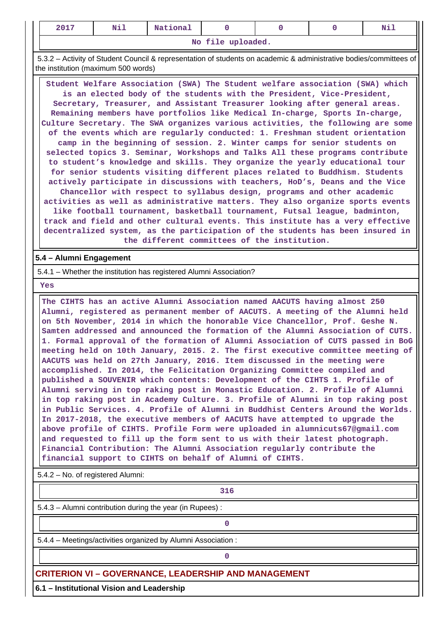| 2017 | Nil | National |                   |  | Nil |
|------|-----|----------|-------------------|--|-----|
|      |     |          | No file uploaded. |  |     |

 5.3.2 – Activity of Student Council & representation of students on academic & administrative bodies/committees of the institution (maximum 500 words)

 **Student Welfare Association (SWA) The Student welfare association (SWA) which is an elected body of the students with the President, Vice-President, Secretary, Treasurer, and Assistant Treasurer looking after general areas. Remaining members have portfolios like Medical In-charge, Sports In-charge, Culture Secretary. The SWA organizes various activities, the following are some of the events which are regularly conducted: 1. Freshman student orientation camp in the beginning of session. 2. Winter camps for senior students on selected topics 3. Seminar, Workshops and Talks All these programs contribute to student's knowledge and skills. They organize the yearly educational tour for senior students visiting different places related to Buddhism. Students actively participate in discussions with teachers, HoD's, Deans and the Vice Chancellor with respect to syllabus design, programs and other academic activities as well as administrative matters. They also organize sports events like football tournament, basketball tournament, Futsal league, badminton, track and field and other cultural events. This institute has a very effective decentralized system, as the participation of the students has been insured in the different committees of the institution.**

#### **5.4 – Alumni Engagement**

5.4.1 – Whether the institution has registered Alumni Association?

 **Yes**

 **The CIHTS has an active Alumni Association named AACUTS having almost 250 Alumni, registered as permanent member of AACUTS. A meeting of the Alumni held on 5th November, 2014 in which the honorable Vice Chancellor, Prof. Geshe N. Samten addressed and announced the formation of the Alumni Association of CUTS. 1. Formal approval of the formation of Alumni Association of CUTS passed in BoG meeting held on 10th January, 2015. 2. The first executive committee meeting of AACUTS was held on 27th January, 2016. Item discussed in the meeting were accomplished. In 2014, the Felicitation Organizing Committee compiled and published a SOUVENIR which contents: Development of the CIHTS 1. Profile of Alumni serving in top raking post in Monastic Education. 2. Profile of Alumni in top raking post in Academy Culture. 3. Profile of Alumni in top raking post in Public Services. 4. Profile of Alumni in Buddhist Centers Around the Worlds. In 2017-2018, the executive members of AACUTS have attempted to upgrade the above profile of CIHTS. Profile Form were uploaded in alumnicuts67@gmail.com and requested to fill up the form sent to us with their latest photograph. Financial Contribution: The Alumni Association regularly contribute the financial support to CIHTS on behalf of Alumni of CIHTS.**

5.4.2 – No. of registered Alumni:

**316** 

5.4.3 – Alumni contribution during the year (in Rupees) :

**0**

5.4.4 – Meetings/activities organized by Alumni Association :

**0**

## **CRITERION VI – GOVERNANCE, LEADERSHIP AND MANAGEMENT**

**6.1 – Institutional Vision and Leadership**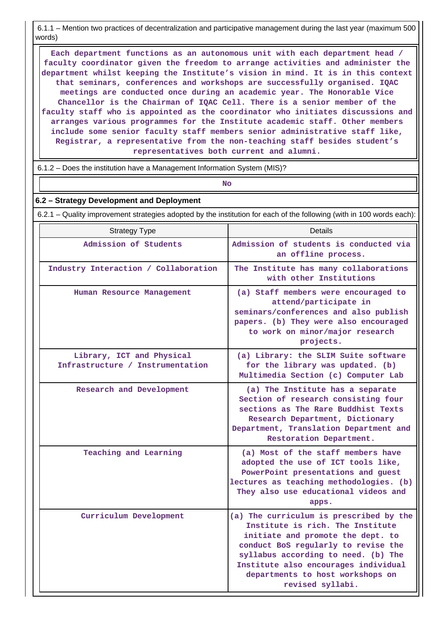6.1.1 – Mention two practices of decentralization and participative management during the last year (maximum 500 words)

 **Each department functions as an autonomous unit with each department head / faculty coordinator given the freedom to arrange activities and administer the department whilst keeping the Institute's vision in mind. It is in this context that seminars, conferences and workshops are successfully organised. IQAC meetings are conducted once during an academic year. The Honorable Vice Chancellor is the Chairman of IQAC Cell. There is a senior member of the faculty staff who is appointed as the coordinator who initiates discussions and arranges various programmes for the Institute academic staff. Other members include some senior faculty staff members senior administrative staff like, Registrar, a representative from the non-teaching staff besides student's representatives both current and alumni.**

6.1.2 – Does the institution have a Management Information System (MIS)?

**No. 2. In the case of the case of the case of the case of the case of the case of the case of the case of the case of the case of the case of the case of the case of the case of the case of the case of the case of the cas** 

#### **6.2 – Strategy Development and Deployment**

6.2.1 – Quality improvement strategies adopted by the institution for each of the following (with in 100 words each):

| <b>Strategy Type</b>                                          | Details                                                                                                                                                                                                                                                                                        |
|---------------------------------------------------------------|------------------------------------------------------------------------------------------------------------------------------------------------------------------------------------------------------------------------------------------------------------------------------------------------|
| Admission of Students                                         | Admission of students is conducted via<br>an offline process.                                                                                                                                                                                                                                  |
| Industry Interaction / Collaboration                          | The Institute has many collaborations<br>with other Institutions                                                                                                                                                                                                                               |
| Human Resource Management                                     | (a) Staff members were encouraged to<br>attend/participate in<br>seminars/conferences and also publish<br>papers. (b) They were also encouraged<br>to work on minor/major research<br>projects.                                                                                                |
| Library, ICT and Physical<br>Infrastructure / Instrumentation | (a) Library: the SLIM Suite software<br>for the library was updated. (b)<br>Multimedia Section (c) Computer Lab                                                                                                                                                                                |
| Research and Development                                      | (a) The Institute has a separate<br>Section of research consisting four<br>sections as The Rare Buddhist Texts<br>Research Department, Dictionary<br>Department, Translation Department and<br>Restoration Department.                                                                         |
| Teaching and Learning                                         | (a) Most of the staff members have<br>adopted the use of ICT tools like,<br>PowerPoint presentations and guest<br>lectures as teaching methodologies. (b)<br>They also use educational videos and<br>apps.                                                                                     |
| Curriculum Development                                        | (a) The curriculum is prescribed by the<br>Institute is rich. The Institute<br>initiate and promote the dept. to<br>conduct BoS regularly to revise the<br>syllabus according to need. (b) The<br>Institute also encourages individual<br>departments to host workshops on<br>revised syllabi. |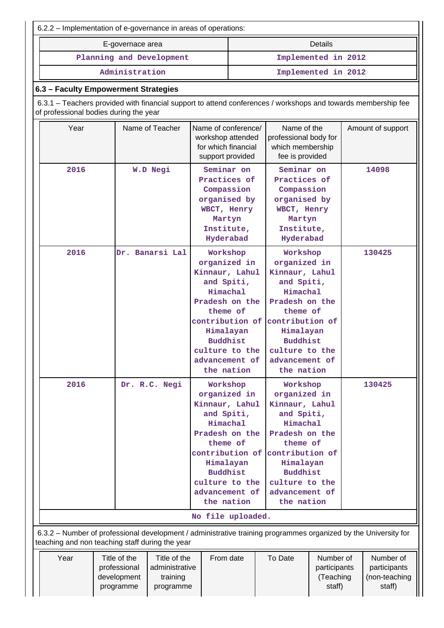| 6.2.2 – Implementation of e-governance in areas of operations: |                                                                                                                                                                    |                                                                                                                                                                                                         |                                                                                                                                                                                                         |                                                                                                                                                                                                         |                                                  |  |                                                      |  |
|----------------------------------------------------------------|--------------------------------------------------------------------------------------------------------------------------------------------------------------------|---------------------------------------------------------------------------------------------------------------------------------------------------------------------------------------------------------|---------------------------------------------------------------------------------------------------------------------------------------------------------------------------------------------------------|---------------------------------------------------------------------------------------------------------------------------------------------------------------------------------------------------------|--------------------------------------------------|--|------------------------------------------------------|--|
|                                                                | E-governace area                                                                                                                                                   |                                                                                                                                                                                                         | <b>Details</b>                                                                                                                                                                                          |                                                                                                                                                                                                         |                                                  |  |                                                      |  |
|                                                                | Planning and Development                                                                                                                                           |                                                                                                                                                                                                         | Implemented in 2012                                                                                                                                                                                     |                                                                                                                                                                                                         |                                                  |  |                                                      |  |
|                                                                | Administration                                                                                                                                                     |                                                                                                                                                                                                         |                                                                                                                                                                                                         |                                                                                                                                                                                                         | Implemented in 2012                              |  |                                                      |  |
| 6.3 - Faculty Empowerment Strategies                           |                                                                                                                                                                    |                                                                                                                                                                                                         |                                                                                                                                                                                                         |                                                                                                                                                                                                         |                                                  |  |                                                      |  |
| of professional bodies during the year                         | 6.3.1 – Teachers provided with financial support to attend conferences / workshops and towards membership fee                                                      |                                                                                                                                                                                                         |                                                                                                                                                                                                         |                                                                                                                                                                                                         |                                                  |  |                                                      |  |
| Year                                                           | Name of Teacher                                                                                                                                                    | Name of conference/<br>workshop attended<br>for which financial<br>support provided                                                                                                                     |                                                                                                                                                                                                         | Name of the<br>professional body for<br>which membership<br>fee is provided                                                                                                                             |                                                  |  | Amount of support                                    |  |
| 2016                                                           | W.D Negi                                                                                                                                                           | Seminar on<br>Practices of<br>Compassion<br>organised by<br>WBCT, Henry<br>Martyn<br>Institute,<br>Hyderabad                                                                                            |                                                                                                                                                                                                         | Seminar on<br>Practices of<br>Compassion<br>organised by<br>WBCT, Henry<br>Martyn<br>Institute,<br>Hyderabad                                                                                            |                                                  |  | 14098                                                |  |
| 2016                                                           | Dr. Banarsi Lal                                                                                                                                                    | Workshop<br>organized in<br>Kinnaur, Lahul<br>and Spiti,<br>Himachal<br>Pradesh on the<br>theme of<br>contribution of<br>Himalayan<br><b>Buddhist</b><br>culture to the<br>advancement of<br>the nation |                                                                                                                                                                                                         | Workshop<br>organized in<br>Kinnaur, Lahul<br>and Spiti,<br>Himachal<br>Pradesh on the<br>theme of<br>contribution of<br>Himalayan<br><b>Buddhist</b><br>culture to the<br>advancement of<br>the nation |                                                  |  | 130425                                               |  |
| 2016                                                           | Dr. R.C. Negi                                                                                                                                                      |                                                                                                                                                                                                         | Workshop<br>organized in<br>Kinnaur, Lahul<br>and Spiti,<br>Himachal<br>Pradesh on the<br>theme of<br>contribution of<br>Himalayan<br><b>Buddhist</b><br>culture to the<br>advancement of<br>the nation | Workshop<br>organized in<br>Kinnaur, Lahul<br>and Spiti,<br>Himachal<br>Pradesh on the<br>theme of<br>contribution of<br>Himalayan<br><b>Buddhist</b><br>culture to the<br>advancement of<br>the nation |                                                  |  | 130425                                               |  |
|                                                                |                                                                                                                                                                    | No file uploaded.                                                                                                                                                                                       |                                                                                                                                                                                                         |                                                                                                                                                                                                         |                                                  |  |                                                      |  |
|                                                                | 6.3.2 - Number of professional development / administrative training programmes organized by the University for<br>teaching and non teaching staff during the year |                                                                                                                                                                                                         |                                                                                                                                                                                                         |                                                                                                                                                                                                         |                                                  |  |                                                      |  |
| Year                                                           | Title of the<br>Title of the<br>professional<br>administrative<br>development<br>training<br>programme<br>programme                                                | From date                                                                                                                                                                                               |                                                                                                                                                                                                         | To Date                                                                                                                                                                                                 | Number of<br>participants<br>(Teaching<br>staff) |  | Number of<br>participants<br>(non-teaching<br>staff) |  |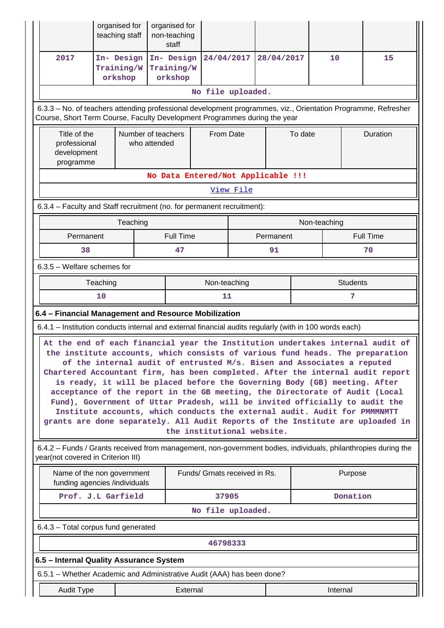|                                                                                                                                                                                                                                                                                                                                                                                                                                                                                                   | organised for<br>teaching staff                                                                         |                                    | organised for<br>non-teaching<br>staff                                                                                                                                                                                                                        |                                         |           |            |         |              |   |                  |
|---------------------------------------------------------------------------------------------------------------------------------------------------------------------------------------------------------------------------------------------------------------------------------------------------------------------------------------------------------------------------------------------------------------------------------------------------------------------------------------------------|---------------------------------------------------------------------------------------------------------|------------------------------------|---------------------------------------------------------------------------------------------------------------------------------------------------------------------------------------------------------------------------------------------------------------|-----------------------------------------|-----------|------------|---------|--------------|---|------------------|
| 2017                                                                                                                                                                                                                                                                                                                                                                                                                                                                                              | In- Design<br>Training/W<br>orkshop                                                                     |                                    | In- Design<br>Training/W<br>orkshop                                                                                                                                                                                                                           | 24/04/2017                              |           | 28/04/2017 |         | 10           |   | 15               |
|                                                                                                                                                                                                                                                                                                                                                                                                                                                                                                   |                                                                                                         |                                    |                                                                                                                                                                                                                                                               | No file uploaded.                       |           |            |         |              |   |                  |
| 6.3.3 - No. of teachers attending professional development programmes, viz., Orientation Programme, Refresher<br>Course, Short Term Course, Faculty Development Programmes during the year                                                                                                                                                                                                                                                                                                        |                                                                                                         |                                    |                                                                                                                                                                                                                                                               |                                         |           |            |         |              |   |                  |
| Title of the<br>professional<br>development<br>programme                                                                                                                                                                                                                                                                                                                                                                                                                                          |                                                                                                         | Number of teachers<br>who attended |                                                                                                                                                                                                                                                               | From Date                               |           |            | To date |              |   | Duration         |
|                                                                                                                                                                                                                                                                                                                                                                                                                                                                                                   |                                                                                                         |                                    | No Data Entered/Not Applicable !!!                                                                                                                                                                                                                            |                                         |           |            |         |              |   |                  |
|                                                                                                                                                                                                                                                                                                                                                                                                                                                                                                   |                                                                                                         |                                    |                                                                                                                                                                                                                                                               |                                         | View File |            |         |              |   |                  |
| 6.3.4 - Faculty and Staff recruitment (no. for permanent recruitment):                                                                                                                                                                                                                                                                                                                                                                                                                            |                                                                                                         |                                    |                                                                                                                                                                                                                                                               |                                         |           |            |         |              |   |                  |
|                                                                                                                                                                                                                                                                                                                                                                                                                                                                                                   |                                                                                                         | Teaching                           |                                                                                                                                                                                                                                                               |                                         |           |            |         | Non-teaching |   |                  |
| Permanent                                                                                                                                                                                                                                                                                                                                                                                                                                                                                         |                                                                                                         |                                    | <b>Full Time</b>                                                                                                                                                                                                                                              |                                         |           | Permanent  |         |              |   | <b>Full Time</b> |
| 38                                                                                                                                                                                                                                                                                                                                                                                                                                                                                                |                                                                                                         |                                    | 47                                                                                                                                                                                                                                                            |                                         |           | 91         |         |              |   | 70               |
| $6.3.5$ – Welfare schemes for                                                                                                                                                                                                                                                                                                                                                                                                                                                                     |                                                                                                         |                                    |                                                                                                                                                                                                                                                               |                                         |           |            |         |              |   |                  |
|                                                                                                                                                                                                                                                                                                                                                                                                                                                                                                   | Teaching<br>Non-teaching<br><b>Students</b>                                                             |                                    |                                                                                                                                                                                                                                                               |                                         |           |            |         |              |   |                  |
|                                                                                                                                                                                                                                                                                                                                                                                                                                                                                                   | 10                                                                                                      |                                    |                                                                                                                                                                                                                                                               | 11                                      |           |            |         |              | 7 |                  |
| 6.4 - Financial Management and Resource Mobilization                                                                                                                                                                                                                                                                                                                                                                                                                                              |                                                                                                         |                                    |                                                                                                                                                                                                                                                               |                                         |           |            |         |              |   |                  |
| 6.4.1 - Institution conducts internal and external financial audits regularly (with in 100 words each)                                                                                                                                                                                                                                                                                                                                                                                            |                                                                                                         |                                    |                                                                                                                                                                                                                                                               |                                         |           |            |         |              |   |                  |
| At the end of each financial year the Institution undertakes internal audit of<br>the institute accounts, which consists of various fund heads. The preparation<br>Chartered Accountant firm, has been completed. After the internal audit report<br>acceptance of the report in the GB meeting, the Directorate of Audit (Local<br>Fund), Government of Uttar Pradesh, will be invited officially to audit the<br>grants are done separately. All Audit Reports of the Institute are uploaded in |                                                                                                         |                                    | of the internal audit of entrusted M/s. Bisen and Associates a reputed<br>is ready, it will be placed before the Governing Body (GB) meeting. After<br>Institute accounts, which conducts the external audit. Audit for PMMMMTT<br>the institutional website. |                                         |           |            |         |              |   |                  |
| 6.4.2 - Funds / Grants received from management, non-government bodies, individuals, philanthropies during the<br>year(not covered in Criterion III)                                                                                                                                                                                                                                                                                                                                              |                                                                                                         |                                    |                                                                                                                                                                                                                                                               |                                         |           |            |         |              |   |                  |
|                                                                                                                                                                                                                                                                                                                                                                                                                                                                                                   | Funds/ Grnats received in Rs.<br>Purpose<br>Name of the non government<br>funding agencies /individuals |                                    |                                                                                                                                                                                                                                                               |                                         |           |            |         |              |   |                  |
|                                                                                                                                                                                                                                                                                                                                                                                                                                                                                                   |                                                                                                         |                                    |                                                                                                                                                                                                                                                               | Prof. J.L Garfield<br>37905<br>Donation |           |            |         |              |   |                  |
|                                                                                                                                                                                                                                                                                                                                                                                                                                                                                                   |                                                                                                         |                                    |                                                                                                                                                                                                                                                               |                                         |           |            |         |              |   |                  |
|                                                                                                                                                                                                                                                                                                                                                                                                                                                                                                   |                                                                                                         |                                    |                                                                                                                                                                                                                                                               | No file uploaded.                       |           |            |         |              |   |                  |
| 6.4.3 - Total corpus fund generated                                                                                                                                                                                                                                                                                                                                                                                                                                                               |                                                                                                         |                                    |                                                                                                                                                                                                                                                               |                                         |           |            |         |              |   |                  |
|                                                                                                                                                                                                                                                                                                                                                                                                                                                                                                   |                                                                                                         |                                    |                                                                                                                                                                                                                                                               | 46798333                                |           |            |         |              |   |                  |
| 6.5 - Internal Quality Assurance System                                                                                                                                                                                                                                                                                                                                                                                                                                                           |                                                                                                         |                                    |                                                                                                                                                                                                                                                               |                                         |           |            |         |              |   |                  |
| 6.5.1 – Whether Academic and Administrative Audit (AAA) has been done?                                                                                                                                                                                                                                                                                                                                                                                                                            |                                                                                                         |                                    |                                                                                                                                                                                                                                                               |                                         |           |            |         |              |   |                  |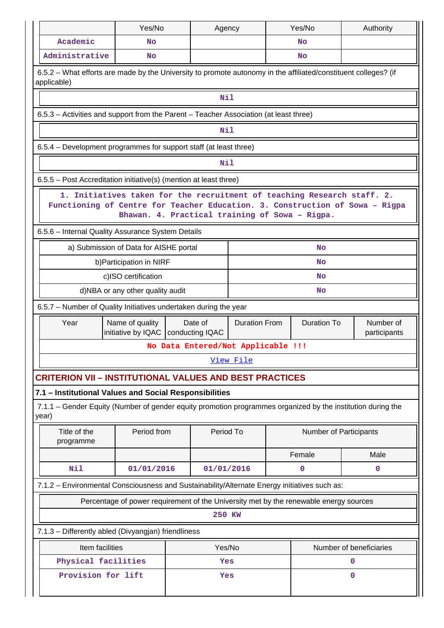|                                                                                                                                                                                                           | Yes/No                                                  |     | Agency     |                                    |                        | Yes/No                  | Authority    |  |  |  |  |  |
|-----------------------------------------------------------------------------------------------------------------------------------------------------------------------------------------------------------|---------------------------------------------------------|-----|------------|------------------------------------|------------------------|-------------------------|--------------|--|--|--|--|--|
| Academic                                                                                                                                                                                                  | No                                                      |     |            |                                    |                        | No                      |              |  |  |  |  |  |
| Administrative                                                                                                                                                                                            | <b>No</b>                                               |     |            |                                    |                        | No                      |              |  |  |  |  |  |
| 6.5.2 – What efforts are made by the University to promote autonomy in the affiliated/constituent colleges? (if<br>applicable)                                                                            |                                                         |     |            |                                    |                        |                         |              |  |  |  |  |  |
| Nil                                                                                                                                                                                                       |                                                         |     |            |                                    |                        |                         |              |  |  |  |  |  |
| 6.5.3 - Activities and support from the Parent - Teacher Association (at least three)                                                                                                                     |                                                         |     |            |                                    |                        |                         |              |  |  |  |  |  |
| Nil                                                                                                                                                                                                       |                                                         |     |            |                                    |                        |                         |              |  |  |  |  |  |
| 6.5.4 – Development programmes for support staff (at least three)                                                                                                                                         |                                                         |     |            |                                    |                        |                         |              |  |  |  |  |  |
| <b>Nil</b>                                                                                                                                                                                                |                                                         |     |            |                                    |                        |                         |              |  |  |  |  |  |
| 6.5.5 – Post Accreditation initiative(s) (mention at least three)                                                                                                                                         |                                                         |     |            |                                    |                        |                         |              |  |  |  |  |  |
| 1. Initiatives taken for the recruitment of teaching Research staff. 2.<br>Functioning of Centre for Teacher Education. 3. Construction of Sowa - Rigpa<br>Bhawan. 4. Practical training of Sowa - Rigpa. |                                                         |     |            |                                    |                        |                         |              |  |  |  |  |  |
| 6.5.6 - Internal Quality Assurance System Details                                                                                                                                                         |                                                         |     |            |                                    |                        |                         |              |  |  |  |  |  |
| a) Submission of Data for AISHE portal                                                                                                                                                                    |                                                         | No  |            |                                    |                        |                         |              |  |  |  |  |  |
|                                                                                                                                                                                                           | b) Participation in NIRF                                |     |            |                                    |                        | No                      |              |  |  |  |  |  |
|                                                                                                                                                                                                           | c)ISO certification                                     |     |            |                                    |                        | No                      |              |  |  |  |  |  |
| d)NBA or any other quality audit<br>No<br>6.5.7 - Number of Quality Initiatives undertaken during the year                                                                                                |                                                         |     |            |                                    |                        |                         |              |  |  |  |  |  |
| Year                                                                                                                                                                                                      |                                                         |     | Date of    | <b>Duration From</b>               |                        | <b>Duration To</b>      | Number of    |  |  |  |  |  |
|                                                                                                                                                                                                           | Name of quality<br>initiative by IQAC   conducting IQAC |     |            |                                    |                        |                         | participants |  |  |  |  |  |
|                                                                                                                                                                                                           |                                                         |     |            | No Data Entered/Not Applicable !!! |                        |                         |              |  |  |  |  |  |
|                                                                                                                                                                                                           |                                                         |     |            | View File                          |                        |                         |              |  |  |  |  |  |
| <b>CRITERION VII - INSTITUTIONAL VALUES AND BEST PRACTICES</b>                                                                                                                                            |                                                         |     |            |                                    |                        |                         |              |  |  |  |  |  |
| 7.1 - Institutional Values and Social Responsibilities                                                                                                                                                    |                                                         |     |            |                                    |                        |                         |              |  |  |  |  |  |
| 7.1.1 – Gender Equity (Number of gender equity promotion programmes organized by the institution during the<br>year)                                                                                      |                                                         |     |            |                                    |                        |                         |              |  |  |  |  |  |
| Title of the<br>programme                                                                                                                                                                                 | Period from                                             |     | Period To  |                                    | Number of Participants |                         |              |  |  |  |  |  |
|                                                                                                                                                                                                           |                                                         |     |            |                                    | Female                 |                         | Male         |  |  |  |  |  |
| Nil                                                                                                                                                                                                       | 01/01/2016                                              |     | 01/01/2016 |                                    | 0                      |                         | 0            |  |  |  |  |  |
| 7.1.2 - Environmental Consciousness and Sustainability/Alternate Energy initiatives such as:                                                                                                              |                                                         |     |            |                                    |                        |                         |              |  |  |  |  |  |
| Percentage of power requirement of the University met by the renewable energy sources                                                                                                                     |                                                         |     |            |                                    |                        |                         |              |  |  |  |  |  |
| 250 KW                                                                                                                                                                                                    |                                                         |     |            |                                    |                        |                         |              |  |  |  |  |  |
| 7.1.3 - Differently abled (Divyangjan) friendliness                                                                                                                                                       |                                                         |     |            |                                    |                        |                         |              |  |  |  |  |  |
| Item facilities                                                                                                                                                                                           |                                                         |     | Yes/No     |                                    |                        | Number of beneficiaries |              |  |  |  |  |  |
| Physical facilities                                                                                                                                                                                       |                                                         | Yes |            |                                    |                        | $\mathbf 0$             |              |  |  |  |  |  |
| Provision for lift                                                                                                                                                                                        | Yes                                                     |     |            |                                    | $\mathbf 0$            |                         |              |  |  |  |  |  |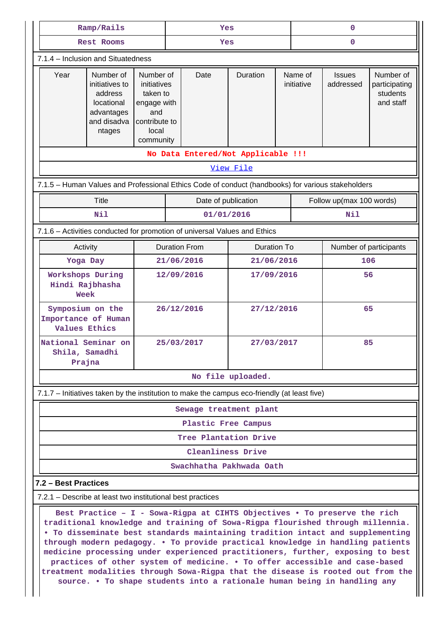| Ramp/Rails                                                                                        |                                                                                                                                                                                                                                                                                                                                                                                                                                                                                                  | Yes                 |                      |                                                                                 |                          | $\mathbf 0$              |             |                            |                                                     |  |  |
|---------------------------------------------------------------------------------------------------|--------------------------------------------------------------------------------------------------------------------------------------------------------------------------------------------------------------------------------------------------------------------------------------------------------------------------------------------------------------------------------------------------------------------------------------------------------------------------------------------------|---------------------|----------------------|---------------------------------------------------------------------------------|--------------------------|--------------------------|-------------|----------------------------|-----------------------------------------------------|--|--|
| <b>Rest Rooms</b>                                                                                 |                                                                                                                                                                                                                                                                                                                                                                                                                                                                                                  |                     | Yes                  |                                                                                 |                          |                          | $\mathbf 0$ |                            |                                                     |  |  |
| 7.1.4 - Inclusion and Situatedness                                                                |                                                                                                                                                                                                                                                                                                                                                                                                                                                                                                  |                     |                      |                                                                                 |                          |                          |             |                            |                                                     |  |  |
| Year                                                                                              | Number of<br>Number of<br>initiatives to<br>initiatives<br>taken to<br>address<br>locational<br>engage with<br>advantages<br>and<br>and disadva<br>contribute to<br>local<br>ntages<br>community                                                                                                                                                                                                                                                                                                 |                     | Date                 |                                                                                 | Duration                 | Name of<br>initiative    |             | <b>Issues</b><br>addressed | Number of<br>participating<br>students<br>and staff |  |  |
| No Data Entered/Not Applicable !!!                                                                |                                                                                                                                                                                                                                                                                                                                                                                                                                                                                                  |                     |                      |                                                                                 |                          |                          |             |                            |                                                     |  |  |
| View File                                                                                         |                                                                                                                                                                                                                                                                                                                                                                                                                                                                                                  |                     |                      |                                                                                 |                          |                          |             |                            |                                                     |  |  |
| 7.1.5 - Human Values and Professional Ethics Code of conduct (handbooks) for various stakeholders |                                                                                                                                                                                                                                                                                                                                                                                                                                                                                                  |                     |                      |                                                                                 |                          |                          |             |                            |                                                     |  |  |
| Title                                                                                             |                                                                                                                                                                                                                                                                                                                                                                                                                                                                                                  | Date of publication |                      |                                                                                 |                          | Follow up(max 100 words) |             |                            |                                                     |  |  |
| Nil                                                                                               |                                                                                                                                                                                                                                                                                                                                                                                                                                                                                                  |                     | 01/01/2016           |                                                                                 |                          |                          |             |                            | Nil                                                 |  |  |
| 7.1.6 - Activities conducted for promotion of universal Values and Ethics                         |                                                                                                                                                                                                                                                                                                                                                                                                                                                                                                  |                     |                      |                                                                                 |                          |                          |             |                            |                                                     |  |  |
|                                                                                                   | Activity                                                                                                                                                                                                                                                                                                                                                                                                                                                                                         |                     | <b>Duration From</b> |                                                                                 | <b>Duration To</b>       |                          |             | Number of participants     |                                                     |  |  |
|                                                                                                   | Yoga Day                                                                                                                                                                                                                                                                                                                                                                                                                                                                                         |                     | 21/06/2016           |                                                                                 | 21/06/2016               |                          |             | 106                        |                                                     |  |  |
| Workshops During<br>Hindi Rajbhasha<br>Week                                                       |                                                                                                                                                                                                                                                                                                                                                                                                                                                                                                  | 12/09/2016          |                      | 17/09/2016                                                                      |                          |                          | 56          |                            |                                                     |  |  |
|                                                                                                   | Symposium on the<br>Importance of Human<br><b>Values Ethics</b>                                                                                                                                                                                                                                                                                                                                                                                                                                  | 26/12/2016          |                      |                                                                                 | 27/12/2016               |                          |             | 65                         |                                                     |  |  |
|                                                                                                   | National Seminar on<br>Shila, Samadhi<br>Prajna                                                                                                                                                                                                                                                                                                                                                                                                                                                  | 25/03/2017          |                      |                                                                                 | 27/03/2017               |                          |             | 85                         |                                                     |  |  |
|                                                                                                   |                                                                                                                                                                                                                                                                                                                                                                                                                                                                                                  |                     |                      |                                                                                 | No file uploaded.        |                          |             |                            |                                                     |  |  |
| 7.1.7 – Initiatives taken by the institution to make the campus eco-friendly (at least five)      |                                                                                                                                                                                                                                                                                                                                                                                                                                                                                                  |                     |                      |                                                                                 |                          |                          |             |                            |                                                     |  |  |
|                                                                                                   |                                                                                                                                                                                                                                                                                                                                                                                                                                                                                                  |                     |                      |                                                                                 | Sewage treatment plant   |                          |             |                            |                                                     |  |  |
|                                                                                                   |                                                                                                                                                                                                                                                                                                                                                                                                                                                                                                  |                     |                      | Plastic Free Campus                                                             |                          |                          |             |                            |                                                     |  |  |
| Tree Plantation Drive                                                                             |                                                                                                                                                                                                                                                                                                                                                                                                                                                                                                  |                     |                      |                                                                                 |                          |                          |             |                            |                                                     |  |  |
| Cleanliness Drive                                                                                 |                                                                                                                                                                                                                                                                                                                                                                                                                                                                                                  |                     |                      |                                                                                 |                          |                          |             |                            |                                                     |  |  |
|                                                                                                   |                                                                                                                                                                                                                                                                                                                                                                                                                                                                                                  |                     |                      |                                                                                 | Swachhatha Pakhwada Oath |                          |             |                            |                                                     |  |  |
| 7.2 - Best Practices                                                                              |                                                                                                                                                                                                                                                                                                                                                                                                                                                                                                  |                     |                      |                                                                                 |                          |                          |             |                            |                                                     |  |  |
| 7.2.1 – Describe at least two institutional best practices                                        |                                                                                                                                                                                                                                                                                                                                                                                                                                                                                                  |                     |                      |                                                                                 |                          |                          |             |                            |                                                     |  |  |
|                                                                                                   | Best Practice - I - Sowa-Rigpa at CIHTS Objectives . To preserve the rich<br>traditional knowledge and training of Sowa-Rigpa flourished through millennia.<br>. To disseminate best standards maintaining tradition intact and supplementing<br>through modern pedagogy. . To provide practical knowledge in handling patients<br>medicine processing under experienced practitioners, further, exposing to best<br>practices of other system of medicine. . To offer accessible and case-based |                     |                      | treatment modalities through Sowa-Rigpa that the disease is rooted out from the |                          |                          |             |                            |                                                     |  |  |

**source. • To shape students into a rationale human being in handling any**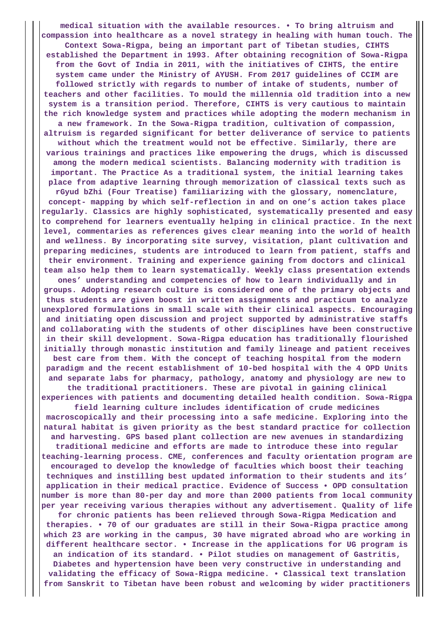**medical situation with the available resources. • To bring altruism and compassion into healthcare as a novel strategy in healing with human touch. The Context Sowa-Rigpa, being an important part of Tibetan studies, CIHTS established the Department in 1993. After obtaining recognition of Sowa-Rigpa from the Govt of India in 2011, with the initiatives of CIHTS, the entire system came under the Ministry of AYUSH. From 2017 guidelines of CCIM are followed strictly with regards to number of intake of students, number of teachers and other facilities. To mould the millennia old tradition into a new system is a transition period. Therefore, CIHTS is very cautious to maintain the rich knowledge system and practices while adopting the modern mechanism in a new framework. In the Sowa-Rigpa tradition, cultivation of compassion, altruism is regarded significant for better deliverance of service to patients without which the treatment would not be effective. Similarly, there are various trainings and practices like empowering the drugs, which is discussed among the modern medical scientists. Balancing modernity with tradition is important. The Practice As a traditional system, the initial learning takes place from adaptive learning through memorization of classical texts such as rGyud bZhi (Four Treatise) familiarizing with the glossary, nomenclature, concept- mapping by which self-reflection in and on one's action takes place regularly. Classics are highly sophisticated, systematically presented and easy to comprehend for learners eventually helping in clinical practice. In the next level, commentaries as references gives clear meaning into the world of health and wellness. By incorporating site survey, visitation, plant cultivation and preparing medicines, students are introduced to learn from patient, staffs and their environment. Training and experience gaining from doctors and clinical team also help them to learn systematically. Weekly class presentation extends ones' understanding and competencies of how to learn individually and in groups. Adopting research culture is considered one of the primary objects and thus students are given boost in written assignments and practicum to analyze unexplored formulations in small scale with their clinical aspects. Encouraging and initiating open discussion and project supported by administrative staffs and collaborating with the students of other disciplines have been constructive in their skill development. Sowa-Rigpa education has traditionally flourished initially through monastic institution and family lineage and patient receives best care from them. With the concept of teaching hospital from the modern paradigm and the recent establishment of 10-bed hospital with the 4 OPD Units and separate labs for pharmacy, pathology, anatomy and physiology are new to the traditional practitioners. These are pivotal in gaining clinical experiences with patients and documenting detailed health condition. Sowa-Rigpa field learning culture includes identification of crude medicines macroscopically and their processing into a safe medicine. Exploring into the natural habitat is given priority as the best standard practice for collection and harvesting. GPS based plant collection are new avenues in standardizing traditional medicine and efforts are made to introduce these into regular teaching-learning process. CME, conferences and faculty orientation program are encouraged to develop the knowledge of faculties which boost their teaching techniques and instilling best updated information to their students and its' application in their medical practice. Evidence of Success • OPD consultation number is more than 80-per day and more than 2000 patients from local community per year receiving various therapies without any advertisement. Quality of life for chronic patients has been relieved through Sowa-Rigpa Medication and therapies. • 70 of our graduates are still in their Sowa-Rigpa practice among which 23 are working in the campus, 30 have migrated abroad who are working in different healthcare sector. • Increase in the applications for UG program is an indication of its standard. • Pilot studies on management of Gastritis, Diabetes and hypertension have been very constructive in understanding and validating the efficacy of Sowa-Rigpa medicine. • Classical text translation from Sanskrit to Tibetan have been robust and welcoming by wider practitioners**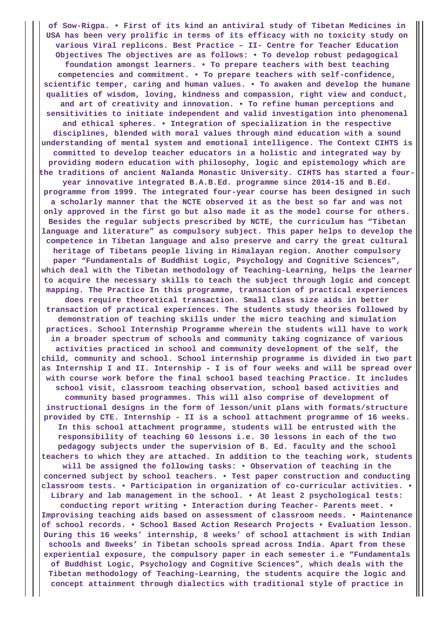**of Sow-Rigpa. • First of its kind an antiviral study of Tibetan Medicines in USA has been very prolific in terms of its efficacy with no toxicity study on various Viral replicons. Best Practice – II- Centre for Teacher Education Objectives The objectives are as follows: • To develop robust pedagogical foundation amongst learners. • To prepare teachers with best teaching competencies and commitment. • To prepare teachers with self-confidence, scientific temper, caring and human values. • To awaken and develop the humane qualities of wisdom, loving, kindness and compassion, right view and conduct, and art of creativity and innovation. • To refine human perceptions and sensitivities to initiate independent and valid investigation into phenomenal and ethical spheres. • Integration of specialization in the respective disciplines, blended with moral values through mind education with a sound understanding of mental system and emotional intelligence. The Context CIHTS is committed to develop teacher educators in a holistic and integrated way by providing modern education with philosophy, logic and epistemology which are the traditions of ancient Nalanda Monastic University. CIHTS has started a fouryear innovative integrated B.A.B.Ed. programme since 2014-15 and B.Ed. programme from 1999. The integrated four-year course has been designed in such a scholarly manner that the NCTE observed it as the best so far and was not only approved in the first go but also made it as the model course for others. Besides the regular subjects prescribed by NCTE, the curriculum has "Tibetan language and literature" as compulsory subject. This paper helps to develop the competence in Tibetan language and also preserve and carry the great cultural heritage of Tibetans people living in Himalayan region. Another compulsory paper "Fundamentals of Buddhist Logic, Psychology and Cognitive Sciences", which deal with the Tibetan methodology of Teaching-Learning, helps the learner to acquire the necessary skills to teach the subject through logic and concept mapping. The Practice In this programme, transaction of practical experiences does require theoretical transaction. Small class size aids in better transaction of practical experiences. The students study theories followed by demonstration of teaching skills under the micro teaching and simulation practices. School Internship Programme wherein the students will have to work in a broader spectrum of schools and community taking cognizance of various activities practiced in school and community development of the self, the child, community and school. School internship programme is divided in two part as Internship I and II. Internship - I is of four weeks and will be spread over with course work before the final school based teaching Practice. It includes school visit, classroom teaching observation, school based activities and community based programmes. This will also comprise of development of instructional designs in the form of lesson/unit plans with formats/structure provided by CTE. Internship - II is a school attachment programme of 16 weeks. In this school attachment programme, students will be entrusted with the responsibility of teaching 60 lessons i.e. 30 lessons in each of the two pedagogy subjects under the supervision of B. Ed. faculty and the school teachers to which they are attached. In addition to the teaching work, students will be assigned the following tasks: • Observation of teaching in the concerned subject by school teachers. • Test paper construction and conducting classroom tests. • Participation in organization of co-curricular activities. • Library and lab management in the school. • At least 2 psychological tests: conducting report writing • Interaction during Teacher- Parents meet. • Improvising teaching aids based on assessment of classroom needs. • Maintenance of school records. • School Based Action Research Projects • Evaluation lesson. During this 16 weeks' internship, 8 weeks' of school attachment is with Indian schools and 8weeks' in Tibetan schools spread across India. Apart from these experiential exposure, the compulsory paper in each semester i.e "Fundamentals of Buddhist Logic, Psychology and Cognitive Sciences", which deals with the Tibetan methodology of Teaching-Learning, the students acquire the logic and concept attainment through dialectics with traditional style of practice in**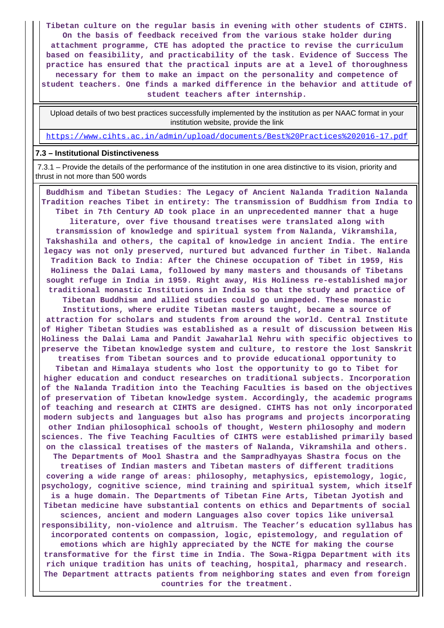**Tibetan culture on the regular basis in evening with other students of CIHTS. On the basis of feedback received from the various stake holder during attachment programme, CTE has adopted the practice to revise the curriculum based on feasibility, and practicability of the task. Evidence of Success The practice has ensured that the practical inputs are at a level of thoroughness necessary for them to make an impact on the personality and competence of student teachers. One finds a marked difference in the behavior and attitude of student teachers after internship.**

 Upload details of two best practices successfully implemented by the institution as per NAAC format in your institution website, provide the link

<https://www.cihts.ac.in/admin/upload/documents/Best%20Practices%202016-17.pdf>

#### **7.3 – Institutional Distinctiveness**

 7.3.1 – Provide the details of the performance of the institution in one area distinctive to its vision, priority and thrust in not more than 500 words

 **Buddhism and Tibetan Studies: The Legacy of Ancient Nalanda Tradition Nalanda Tradition reaches Tibet in entirety: The transmission of Buddhism from India to Tibet in 7th Century AD took place in an unprecedented manner that a huge literature, over five thousand treatises were translated along with transmission of knowledge and spiritual system from Nalanda, Vikramshila, Takshashila and others, the capital of knowledge in ancient India. The entire legacy was not only preserved, nurtured but advanced further in Tibet. Nalanda Tradition Back to India: After the Chinese occupation of Tibet in 1959, His Holiness the Dalai Lama, followed by many masters and thousands of Tibetans sought refuge in India in 1959. Right away, His Holiness re-established major traditional monastic Institutions in India so that the study and practice of Tibetan Buddhism and allied studies could go unimpeded. These monastic Institutions, where erudite Tibetan masters taught, became a source of attraction for scholars and students from around the world. Central Institute of Higher Tibetan Studies was established as a result of discussion between His Holiness the Dalai Lama and Pandit Jawaharlal Nehru with specific objectives to preserve the Tibetan knowledge system and culture, to restore the lost Sanskrit treatises from Tibetan sources and to provide educational opportunity to Tibetan and Himalaya students who lost the opportunity to go to Tibet for higher education and conduct researches on traditional subjects. Incorporation of the Nalanda Tradition into the Teaching Faculties is based on the objectives of preservation of Tibetan knowledge system. Accordingly, the academic programs of teaching and research at CIHTS are designed. CIHTS has not only incorporated modern subjects and languages but also has programs and projects incorporating other Indian philosophical schools of thought, Western philosophy and modern sciences. The five Teaching Faculties of CIHTS were established primarily based on the classical treatises of the masters of Nalanda, Vikramshila and others. The Departments of Mool Shastra and the Sampradhyayas Shastra focus on the treatises of Indian masters and Tibetan masters of different traditions covering a wide range of areas: philosophy, metaphysics, epistemology, logic, psychology, cognitive science, mind training and spiritual system, which itself is a huge domain. The Departments of Tibetan Fine Arts, Tibetan Jyotish and Tibetan medicine have substantial contents on ethics and Departments of social sciences, ancient and modern Languages also cover topics like universal responsibility, non-violence and altruism. The Teacher's education syllabus has incorporated contents on compassion, logic, epistemology, and regulation of emotions which are highly appreciated by the NCTE for making the course transformative for the first time in India. The Sowa-Rigpa Department with its rich unique tradition has units of teaching, hospital, pharmacy and research. The Department attracts patients from neighboring states and even from foreign countries for the treatment.**